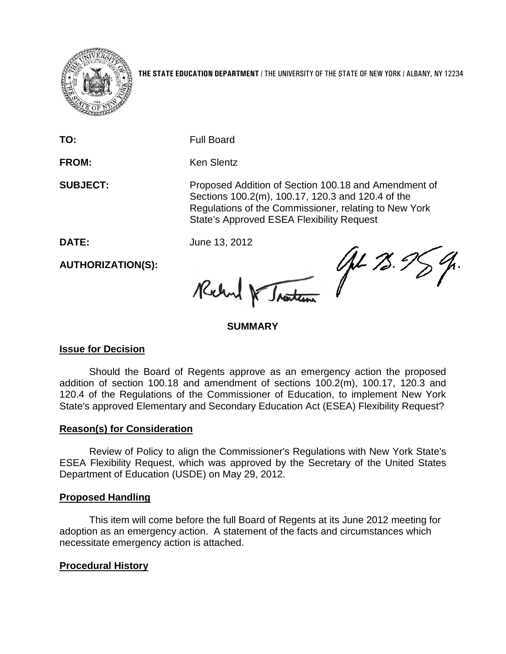

**THE STATE EDUCATION DEPARTMENT** / THE UNIVERSITY OF THE STATE OF NEW YORK / ALBANY, NY 12234

**TO:** Full Board

FROM: Ken Slentz

**SUBJECT:** Proposed Addition of Section 100.18 and Amendment of Sections 100.2(m), 100.17, 120.3 and 120.4 of the Regulations of the Commissioner, relating to New York State's Approved ESEA Flexibility Request

**DATE:** June 13, 2012

**AUTHORIZATION(S):**

JH 75.9 Richard Traiteau

### **SUMMARY**

## **Issue for Decision**

Should the Board of Regents approve as an emergency action the proposed addition of section 100.18 and amendment of sections 100.2(m), 100.17, 120.3 and 120.4 of the Regulations of the Commissioner of Education, to implement New York State's approved Elementary and Secondary Education Act (ESEA) Flexibility Request?

## **Reason(s) for Consideration**

Review of Policy to align the Commissioner's Regulations with New York State's ESEA Flexibility Request, which was approved by the Secretary of the United States Department of Education (USDE) on May 29, 2012.

#### **Proposed Handling**

This item will come before the full Board of Regents at its June 2012 meeting for adoption as an emergency action. A statement of the facts and circumstances which necessitate emergency action is attached.

## **Procedural History**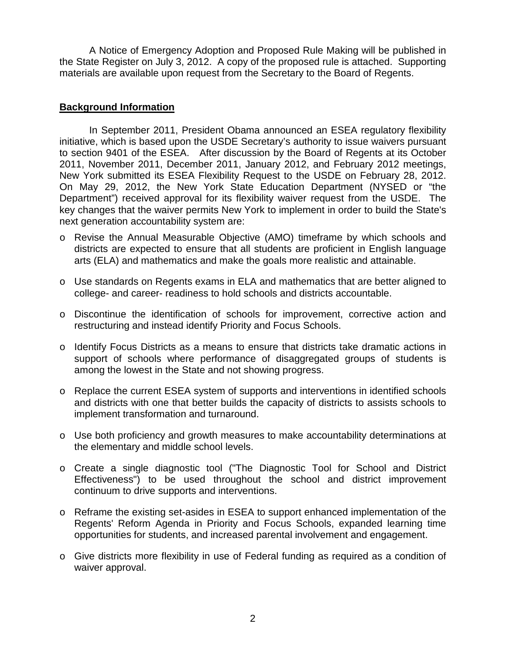A Notice of Emergency Adoption and Proposed Rule Making will be published in the State Register on July 3, 2012. A copy of the proposed rule is attached. Supporting materials are available upon request from the Secretary to the Board of Regents.

#### **Background Information**

In September 2011, President Obama announced an ESEA regulatory flexibility initiative, which is based upon the USDE Secretary's authority to issue waivers pursuant to section 9401 of the ESEA. After discussion by the Board of Regents at its October 2011, November 2011, December 2011, January 2012, and February 2012 meetings, New York submitted its ESEA Flexibility Request to the USDE on February 28, 2012. On May 29, 2012, the New York State Education Department (NYSED or "the Department") received approval for its flexibility waiver request from the USDE. The key changes that the waiver permits New York to implement in order to build the State's next generation accountability system are:

- o Revise the Annual Measurable Objective (AMO) timeframe by which schools and districts are expected to ensure that all students are proficient in English language arts (ELA) and mathematics and make the goals more realistic and attainable.
- o Use standards on Regents exams in ELA and mathematics that are better aligned to college- and career- readiness to hold schools and districts accountable.
- o Discontinue the identification of schools for improvement, corrective action and restructuring and instead identify Priority and Focus Schools.
- o Identify Focus Districts as a means to ensure that districts take dramatic actions in support of schools where performance of disaggregated groups of students is among the lowest in the State and not showing progress.
- o Replace the current ESEA system of supports and interventions in identified schools and districts with one that better builds the capacity of districts to assists schools to implement transformation and turnaround.
- o Use both proficiency and growth measures to make accountability determinations at the elementary and middle school levels.
- o Create a single diagnostic tool ("The Diagnostic Tool for School and District Effectiveness") to be used throughout the school and district improvement continuum to drive supports and interventions.
- o Reframe the existing set-asides in ESEA to support enhanced implementation of the Regents' Reform Agenda in Priority and Focus Schools, expanded learning time opportunities for students, and increased parental involvement and engagement.
- o Give districts more flexibility in use of Federal funding as required as a condition of waiver approval.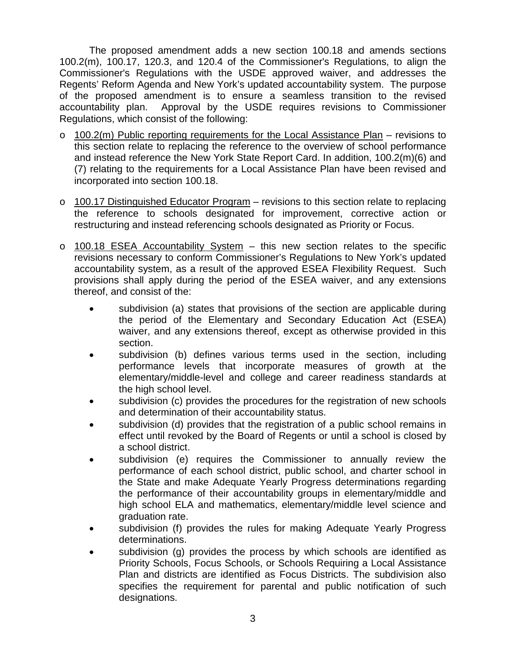The proposed amendment adds a new section 100.18 and amends sections 100.2(m), 100.17, 120.3, and 120.4 of the Commissioner's Regulations, to align the Commissioner's Regulations with the USDE approved waiver, and addresses the Regents' Reform Agenda and New York's updated accountability system. The purpose of the proposed amendment is to ensure a seamless transition to the revised accountability plan. Approval by the USDE requires revisions to Commissioner Regulations, which consist of the following:

- $\circ$  100.2(m) Public reporting requirements for the Local Assistance Plan revisions to this section relate to replacing the reference to the overview of school performance and instead reference the New York State Report Card. In addition, 100.2(m)(6) and (7) relating to the requirements for a Local Assistance Plan have been revised and incorporated into section 100.18.
- $\circ$  100.17 Distinguished Educator Program revisions to this section relate to replacing the reference to schools designated for improvement, corrective action or restructuring and instead referencing schools designated as Priority or Focus.
- $\circ$  100.18 ESEA Accountability System this new section relates to the specific revisions necessary to conform Commissioner's Regulations to New York's updated accountability system, as a result of the approved ESEA Flexibility Request. Such provisions shall apply during the period of the ESEA waiver, and any extensions thereof, and consist of the:
	- subdivision (a) states that provisions of the section are applicable during the period of the Elementary and Secondary Education Act (ESEA) waiver, and any extensions thereof, except as otherwise provided in this section.
	- subdivision (b) defines various terms used in the section, including performance levels that incorporate measures of growth at the elementary/middle-level and college and career readiness standards at the high school level.
	- subdivision (c) provides the procedures for the registration of new schools and determination of their accountability status.
	- subdivision (d) provides that the registration of a public school remains in effect until revoked by the Board of Regents or until a school is closed by a school district.
	- subdivision (e) requires the Commissioner to annually review the performance of each school district, public school, and charter school in the State and make Adequate Yearly Progress determinations regarding the performance of their accountability groups in elementary/middle and high school ELA and mathematics, elementary/middle level science and graduation rate.
	- subdivision (f) provides the rules for making Adequate Yearly Progress determinations.
	- subdivision (g) provides the process by which schools are identified as Priority Schools, Focus Schools, or Schools Requiring a Local Assistance Plan and districts are identified as Focus Districts. The subdivision also specifies the requirement for parental and public notification of such designations.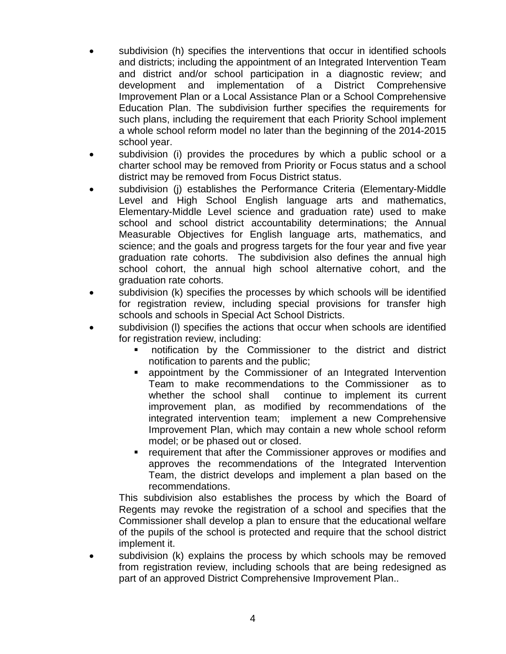- subdivision (h) specifies the interventions that occur in identified schools and districts; including the appointment of an Integrated Intervention Team and district and/or school participation in a diagnostic review; and development and implementation of a District Comprehensive Improvement Plan or a Local Assistance Plan or a School Comprehensive Education Plan. The subdivision further specifies the requirements for such plans, including the requirement that each Priority School implement a whole school reform model no later than the beginning of the 2014-2015 school year.
- subdivision (i) provides the procedures by which a public school or a charter school may be removed from Priority or Focus status and a school district may be removed from Focus District status.
- subdivision (i) establishes the Performance Criteria (Elementary-Middle Level and High School English language arts and mathematics, Elementary-Middle Level science and graduation rate) used to make school and school district accountability determinations; the Annual Measurable Objectives for English language arts, mathematics, and science; and the goals and progress targets for the four year and five year graduation rate cohorts. The subdivision also defines the annual high school cohort, the annual high school alternative cohort, and the graduation rate cohorts.
- subdivision (k) specifies the processes by which schools will be identified for registration review, including special provisions for transfer high schools and schools in Special Act School Districts.
- subdivision (I) specifies the actions that occur when schools are identified for registration review, including:
	- notification by the Commissioner to the district and district notification to parents and the public;
	- appointment by the Commissioner of an Integrated Intervention Team to make recommendations to the Commissioner as to whether the school shall continue to implement its current improvement plan, as modified by recommendations of the integrated intervention team; implement a new Comprehensive Improvement Plan, which may contain a new whole school reform model; or be phased out or closed.
	- requirement that after the Commissioner approves or modifies and approves the recommendations of the Integrated Intervention Team, the district develops and implement a plan based on the recommendations.

This subdivision also establishes the process by which the Board of Regents may revoke the registration of a school and specifies that the Commissioner shall develop a plan to ensure that the educational welfare of the pupils of the school is protected and require that the school district implement it.

• subdivision (k) explains the process by which schools may be removed from registration review, including schools that are being redesigned as part of an approved District Comprehensive Improvement Plan..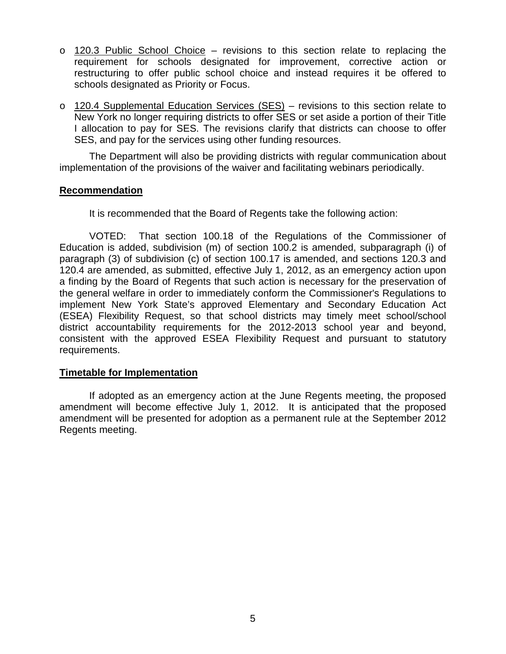- o 120.3 Public School Choice revisions to this section relate to replacing the requirement for schools designated for improvement, corrective action or restructuring to offer public school choice and instead requires it be offered to schools designated as Priority or Focus.
- o 120.4 Supplemental Education Services (SES) revisions to this section relate to New York no longer requiring districts to offer SES or set aside a portion of their Title I allocation to pay for SES. The revisions clarify that districts can choose to offer SES, and pay for the services using other funding resources.

The Department will also be providing districts with regular communication about implementation of the provisions of the waiver and facilitating webinars periodically.

#### **Recommendation**

It is recommended that the Board of Regents take the following action:

VOTED: That section 100.18 of the Regulations of the Commissioner of Education is added, subdivision (m) of section 100.2 is amended, subparagraph (i) of paragraph (3) of subdivision (c) of section 100.17 is amended, and sections 120.3 and 120.4 are amended, as submitted, effective July 1, 2012, as an emergency action upon a finding by the Board of Regents that such action is necessary for the preservation of the general welfare in order to immediately conform the Commissioner's Regulations to implement New York State's approved Elementary and Secondary Education Act (ESEA) Flexibility Request, so that school districts may timely meet school/school district accountability requirements for the 2012-2013 school year and beyond, consistent with the approved ESEA Flexibility Request and pursuant to statutory requirements.

#### **Timetable for Implementation**

If adopted as an emergency action at the June Regents meeting, the proposed amendment will become effective July 1, 2012. It is anticipated that the proposed amendment will be presented for adoption as a permanent rule at the September 2012 Regents meeting.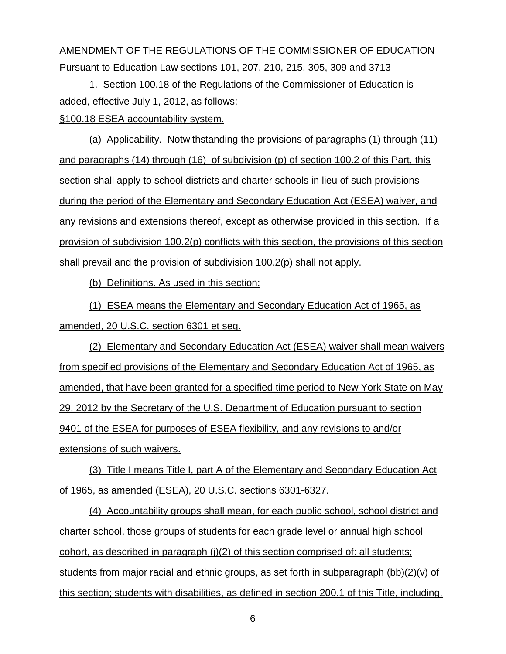AMENDMENT OF THE REGULATIONS OF THE COMMISSIONER OF EDUCATION Pursuant to Education Law sections 101, 207, 210, 215, 305, 309 and 3713

1. Section 100.18 of the Regulations of the Commissioner of Education is added, effective July 1, 2012, as follows: §100.18 ESEA accountability system.

(a) Applicability. Notwithstanding the provisions of paragraphs (1) through (11) and paragraphs (14) through (16) of subdivision (p) of section 100.2 of this Part, this section shall apply to school districts and charter schools in lieu of such provisions during the period of the Elementary and Secondary Education Act (ESEA) waiver, and any revisions and extensions thereof, except as otherwise provided in this section. If a provision of subdivision 100.2(p) conflicts with this section, the provisions of this section shall prevail and the provision of subdivision 100.2(p) shall not apply.

(b) Definitions. As used in this section:

(1) ESEA means the Elementary and Secondary Education Act of 1965, as amended, 20 U.S.C. section 6301 et seq.

(2) Elementary and Secondary Education Act (ESEA) waiver shall mean waivers from specified provisions of the Elementary and Secondary Education Act of 1965, as amended, that have been granted for a specified time period to New York State on May 29, 2012 by the Secretary of the U.S. Department of Education pursuant to section 9401 of the ESEA for purposes of ESEA flexibility, and any revisions to and/or extensions of such waivers.

(3) Title I means Title I, part A of the Elementary and Secondary Education Act of 1965, as amended (ESEA), 20 U.S.C. sections 6301-6327.

(4) Accountability groups shall mean, for each public school, school district and charter school, those groups of students for each grade level or annual high school cohort, as described in paragraph (j)(2) of this section comprised of: all students; students from major racial and ethnic groups, as set forth in subparagraph (bb)(2)(v) of this section; students with disabilities, as defined in section 200.1 of this Title, including,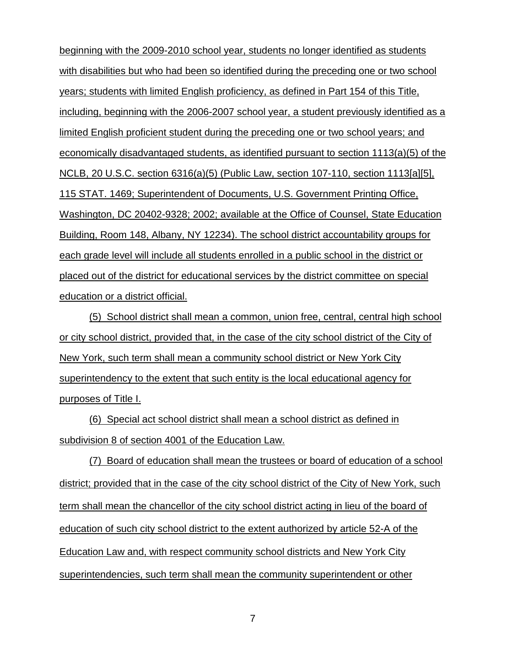beginning with the 2009-2010 school year, students no longer identified as students with disabilities but who had been so identified during the preceding one or two school years; students with limited English proficiency, as defined in Part 154 of this Title, including, beginning with the 2006-2007 school year, a student previously identified as a limited English proficient student during the preceding one or two school years; and economically disadvantaged students, as identified pursuant to section 1113(a)(5) of the NCLB, 20 U.S.C. section 6316(a)(5) (Public Law, section 107-110, section 1113[a][5], 115 STAT. 1469; Superintendent of Documents, U.S. Government Printing Office, Washington, DC 20402-9328; 2002; available at the Office of Counsel, State Education Building, Room 148, Albany, NY 12234). The school district accountability groups for each grade level will include all students enrolled in a public school in the district or placed out of the district for educational services by the district committee on special education or a district official.

(5) School district shall mean a common, union free, central, central high school or city school district, provided that, in the case of the city school district of the City of New York, such term shall mean a community school district or New York City superintendency to the extent that such entity is the local educational agency for purposes of Title I.

(6) Special act school district shall mean a school district as defined in subdivision 8 of section 4001 of the Education Law.

(7) Board of education shall mean the trustees or board of education of a school district; provided that in the case of the city school district of the City of New York, such term shall mean the chancellor of the city school district acting in lieu of the board of education of such city school district to the extent authorized by article 52-A of the Education Law and, with respect community school districts and New York City superintendencies, such term shall mean the community superintendent or other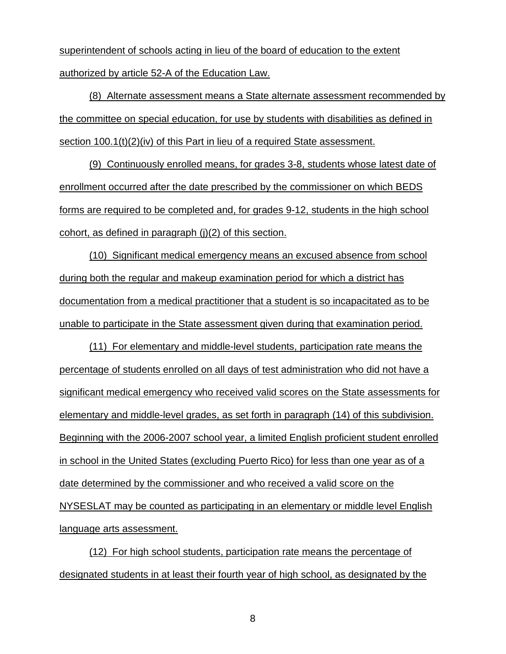superintendent of schools acting in lieu of the board of education to the extent authorized by article 52-A of the Education Law.

(8) Alternate assessment means a State alternate assessment recommended by the committee on special education, for use by students with disabilities as defined in section 100.1(t)(2)(iv) of this Part in lieu of a required State assessment.

(9) Continuously enrolled means, for grades 3-8, students whose latest date of enrollment occurred after the date prescribed by the commissioner on which BEDS forms are required to be completed and, for grades 9-12, students in the high school cohort, as defined in paragraph (j)(2) of this section.

(10) Significant medical emergency means an excused absence from school during both the regular and makeup examination period for which a district has documentation from a medical practitioner that a student is so incapacitated as to be unable to participate in the State assessment given during that examination period.

(11) For elementary and middle-level students, participation rate means the percentage of students enrolled on all days of test administration who did not have a significant medical emergency who received valid scores on the State assessments for elementary and middle-level grades, as set forth in paragraph (14) of this subdivision. Beginning with the 2006-2007 school year, a limited English proficient student enrolled in school in the United States (excluding Puerto Rico) for less than one year as of a date determined by the commissioner and who received a valid score on the NYSESLAT may be counted as participating in an elementary or middle level English language arts assessment.

(12) For high school students, participation rate means the percentage of designated students in at least their fourth year of high school, as designated by the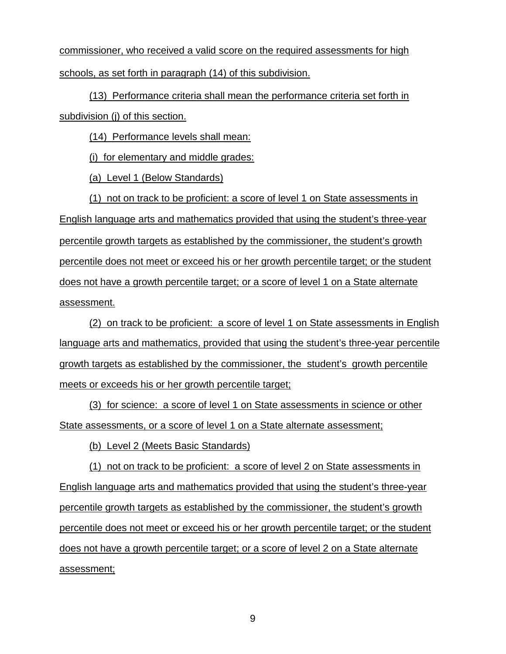commissioner, who received a valid score on the required assessments for high schools, as set forth in paragraph (14) of this subdivision.

(13) Performance criteria shall mean the performance criteria set forth in subdivision (j) of this section.

(14) Performance levels shall mean:

(i) for elementary and middle grades:

(a) Level 1 (Below Standards)

(1) not on track to be proficient: a score of level 1 on State assessments in English language arts and mathematics provided that using the student's three‐year percentile growth targets as established by the commissioner, the student's growth percentile does not meet or exceed his or her growth percentile target; or the student does not have a growth percentile target; or a score of level 1 on a State alternate assessment.

(2) on track to be proficient: a score of level 1 on State assessments in English language arts and mathematics, provided that using the student's three-year percentile growth targets as established by the commissioner, the student's growth percentile meets or exceeds his or her growth percentile target;

(3) for science: a score of level 1 on State assessments in science or other State assessments, or a score of level 1 on a State alternate assessment;

(b) Level 2 (Meets Basic Standards)

(1) not on track to be proficient: a score of level 2 on State assessments in English language arts and mathematics provided that using the student's three-year percentile growth targets as established by the commissioner, the student's growth percentile does not meet or exceed his or her growth percentile target; or the student does not have a growth percentile target; or a score of level 2 on a State alternate assessment;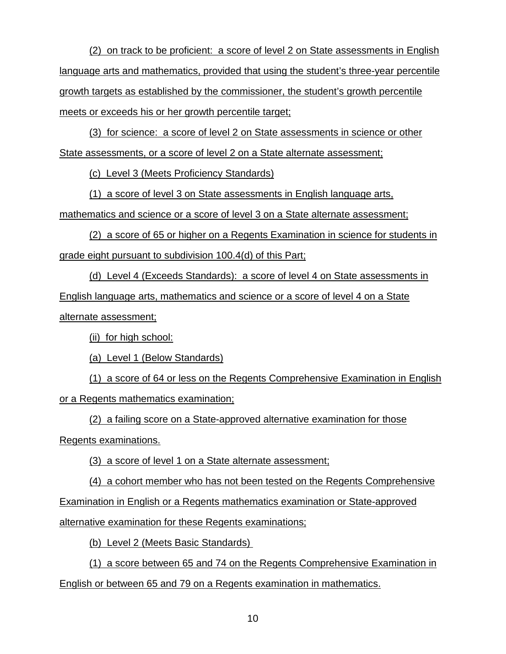(2) on track to be proficient: a score of level 2 on State assessments in English language arts and mathematics, provided that using the student's three-year percentile growth targets as established by the commissioner, the student's growth percentile meets or exceeds his or her growth percentile target;

(3) for science: a score of level 2 on State assessments in science or other State assessments, or a score of level 2 on a State alternate assessment;

(c) Level 3 (Meets Proficiency Standards)

(1) a score of level 3 on State assessments in English language arts,

mathematics and science or a score of level 3 on a State alternate assessment;

(2) a score of 65 or higher on a Regents Examination in science for students in grade eight pursuant to subdivision 100.4(d) of this Part;

(d) Level 4 (Exceeds Standards): a score of level 4 on State assessments in English language arts, mathematics and science or a score of level 4 on a State alternate assessment;

(ii) for high school:

(a) Level 1 (Below Standards)

(1) a score of 64 or less on the Regents Comprehensive Examination in English or a Regents mathematics examination;

(2) a failing score on a State-approved alternative examination for those Regents examinations.

(3) a score of level 1 on a State alternate assessment;

(4) a cohort member who has not been tested on the Regents Comprehensive Examination in English or a Regents mathematics examination or State-approved alternative examination for these Regents examinations;

(b) Level 2 (Meets Basic Standards)

(1) a score between 65 and 74 on the Regents Comprehensive Examination in English or between 65 and 79 on a Regents examination in mathematics.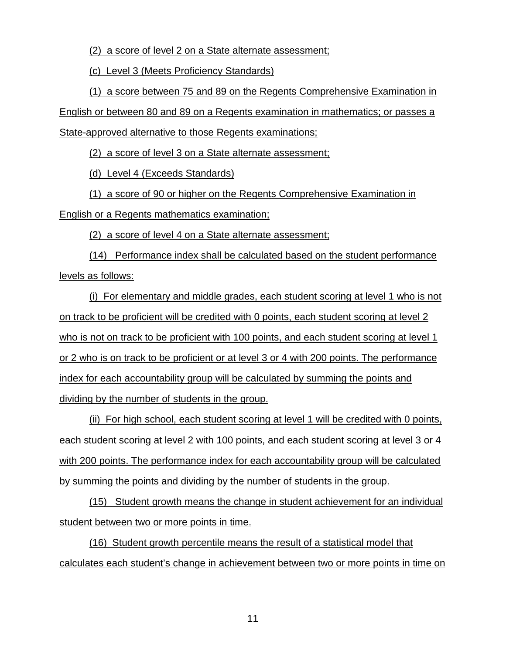(2) a score of level 2 on a State alternate assessment;

(c) Level 3 (Meets Proficiency Standards)

(1) a score between 75 and 89 on the Regents Comprehensive Examination in

English or between 80 and 89 on a Regents examination in mathematics; or passes a

State-approved alternative to those Regents examinations;

(2) a score of level 3 on a State alternate assessment;

(d) Level 4 (Exceeds Standards)

(1) a score of 90 or higher on the Regents Comprehensive Examination in English or a Regents mathematics examination;

(2) a score of level 4 on a State alternate assessment;

(14) Performance index shall be calculated based on the student performance levels as follows:

(i) For elementary and middle grades, each student scoring at level 1 who is not on track to be proficient will be credited with 0 points, each student scoring at level 2 who is not on track to be proficient with 100 points, and each student scoring at level 1 or 2 who is on track to be proficient or at level 3 or 4 with 200 points. The performance index for each accountability group will be calculated by summing the points and dividing by the number of students in the group.

(ii) For high school, each student scoring at level 1 will be credited with 0 points, each student scoring at level 2 with 100 points, and each student scoring at level 3 or 4 with 200 points. The performance index for each accountability group will be calculated by summing the points and dividing by the number of students in the group.

(15) Student growth means the change in student achievement for an individual student between two or more points in time.

(16) Student growth percentile means the result of a statistical model that calculates each student's change in achievement between two or more points in time on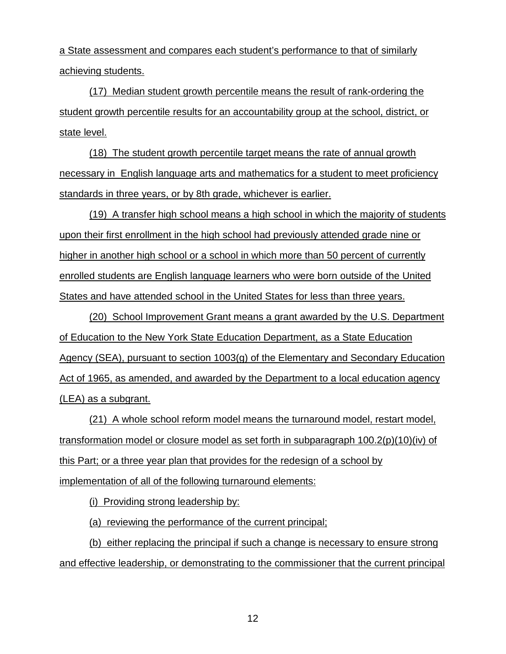a State assessment and compares each student's performance to that of similarly achieving students.

(17) Median student growth percentile means the result of rank-ordering the student growth percentile results for an accountability group at the school, district, or state level.

(18) The student growth percentile target means the rate of annual growth necessary in English language arts and mathematics for a student to meet proficiency standards in three years, or by 8th grade, whichever is earlier.

(19) A transfer high school means a high school in which the majority of students upon their first enrollment in the high school had previously attended grade nine or higher in another high school or a school in which more than 50 percent of currently enrolled students are English language learners who were born outside of the United States and have attended school in the United States for less than three years.

(20) School Improvement Grant means a grant awarded by the U.S. Department of Education to the New York State Education Department, as a State Education Agency (SEA), pursuant to section 1003(g) of the Elementary and Secondary Education Act of 1965, as amended, and awarded by the Department to a local education agency (LEA) as a subgrant.

(21) A whole school reform model means the turnaround model, restart model, transformation model or closure model as set forth in subparagraph  $100.2(p)(10)(iv)$  of this Part; or a three year plan that provides for the redesign of a school by implementation of all of the following turnaround elements:

(i) Providing strong leadership by:

(a) reviewing the performance of the current principal;

(b) either replacing the principal if such a change is necessary to ensure strong and effective leadership, or demonstrating to the commissioner that the current principal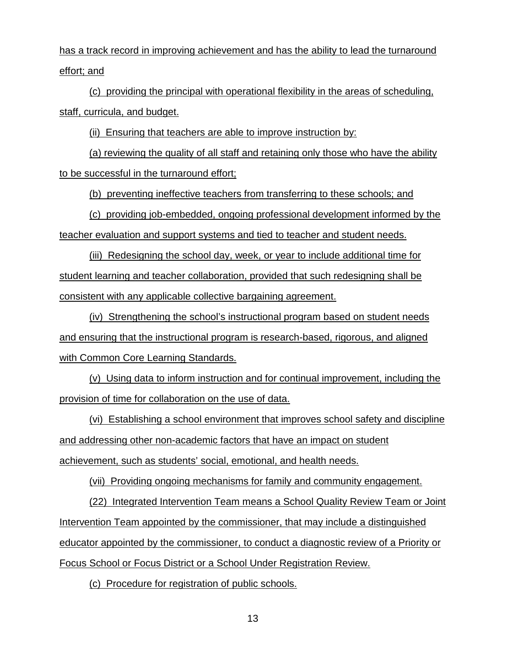has a track record in improving achievement and has the ability to lead the turnaround effort; and

(c) providing the principal with operational flexibility in the areas of scheduling, staff, curricula, and budget.

(ii) Ensuring that teachers are able to improve instruction by:

(a) reviewing the quality of all staff and retaining only those who have the ability to be successful in the turnaround effort;

(b) preventing ineffective teachers from transferring to these schools; and

(c) providing job-embedded, ongoing professional development informed by the

teacher evaluation and support systems and tied to teacher and student needs.

(iii) Redesigning the school day, week, or year to include additional time for student learning and teacher collaboration, provided that such redesigning shall be consistent with any applicable collective bargaining agreement.

(iv) Strengthening the school's instructional program based on student needs and ensuring that the instructional program is research-based, rigorous, and aligned with Common Core Learning Standards.

(v) Using data to inform instruction and for continual improvement, including the provision of time for collaboration on the use of data.

(vi) Establishing a school environment that improves school safety and discipline and addressing other non-academic factors that have an impact on student achievement, such as students' social, emotional, and health needs.

(vii) Providing ongoing mechanisms for family and community engagement.

(22) Integrated Intervention Team means a School Quality Review Team or Joint Intervention Team appointed by the commissioner, that may include a distinguished educator appointed by the commissioner, to conduct a diagnostic review of a Priority or Focus School or Focus District or a School Under Registration Review.

(c) Procedure for registration of public schools.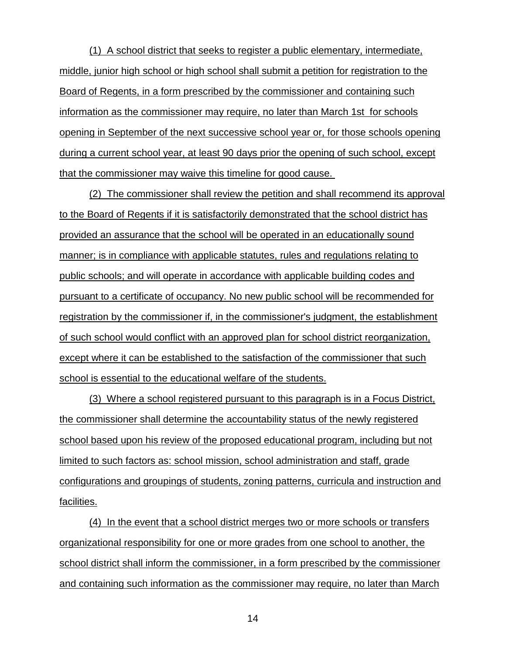(1) A school district that seeks to register a public elementary, intermediate, middle, junior high school or high school shall submit a petition for registration to the Board of Regents, in a form prescribed by the commissioner and containing such information as the commissioner may require, no later than March 1st for schools opening in September of the next successive school year or, for those schools opening during a current school year, at least 90 days prior the opening of such school, except that the commissioner may waive this timeline for good cause.

(2) The commissioner shall review the petition and shall recommend its approval to the Board of Regents if it is satisfactorily demonstrated that the school district has provided an assurance that the school will be operated in an educationally sound manner; is in compliance with applicable statutes, rules and regulations relating to public schools; and will operate in accordance with applicable building codes and pursuant to a certificate of occupancy. No new public school will be recommended for registration by the commissioner if, in the commissioner's judgment, the establishment of such school would conflict with an approved plan for school district reorganization, except where it can be established to the satisfaction of the commissioner that such school is essential to the educational welfare of the students.

(3) Where a school registered pursuant to this paragraph is in a Focus District, the commissioner shall determine the accountability status of the newly registered school based upon his review of the proposed educational program, including but not limited to such factors as: school mission, school administration and staff, grade configurations and groupings of students, zoning patterns, curricula and instruction and facilities.

(4) In the event that a school district merges two or more schools or transfers organizational responsibility for one or more grades from one school to another, the school district shall inform the commissioner, in a form prescribed by the commissioner and containing such information as the commissioner may require, no later than March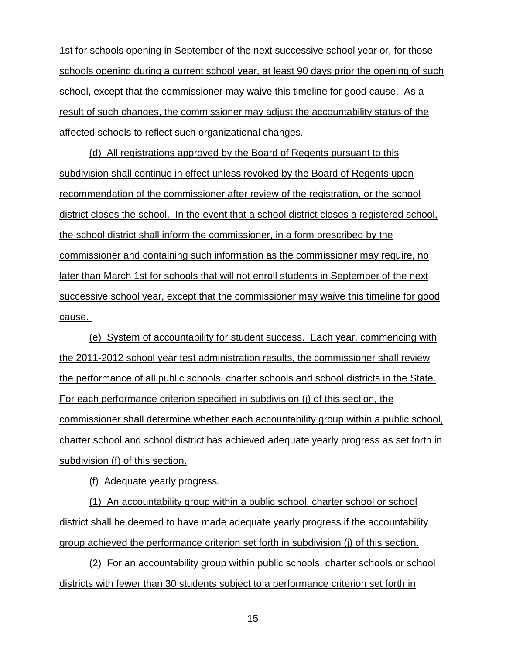1st for schools opening in September of the next successive school year or, for those schools opening during a current school year, at least 90 days prior the opening of such school, except that the commissioner may waive this timeline for good cause. As a result of such changes, the commissioner may adjust the accountability status of the affected schools to reflect such organizational changes.

(d) All registrations approved by the Board of Regents pursuant to this subdivision shall continue in effect unless revoked by the Board of Regents upon recommendation of the commissioner after review of the registration, or the school district closes the school. In the event that a school district closes a registered school, the school district shall inform the commissioner, in a form prescribed by the commissioner and containing such information as the commissioner may require, no later than March 1st for schools that will not enroll students in September of the next successive school year, except that the commissioner may waive this timeline for good cause.

(e) System of accountability for student success. Each year, commencing with the 2011-2012 school year test administration results, the commissioner shall review the performance of all public schools, charter schools and school districts in the State. For each performance criterion specified in subdivision (j) of this section, the commissioner shall determine whether each accountability group within a public school, charter school and school district has achieved adequate yearly progress as set forth in subdivision (f) of this section.

(f) Adequate yearly progress.

(1) An accountability group within a public school, charter school or school district shall be deemed to have made adequate yearly progress if the accountability group achieved the performance criterion set forth in subdivision (j) of this section.

(2) For an accountability group within public schools, charter schools or school districts with fewer than 30 students subject to a performance criterion set forth in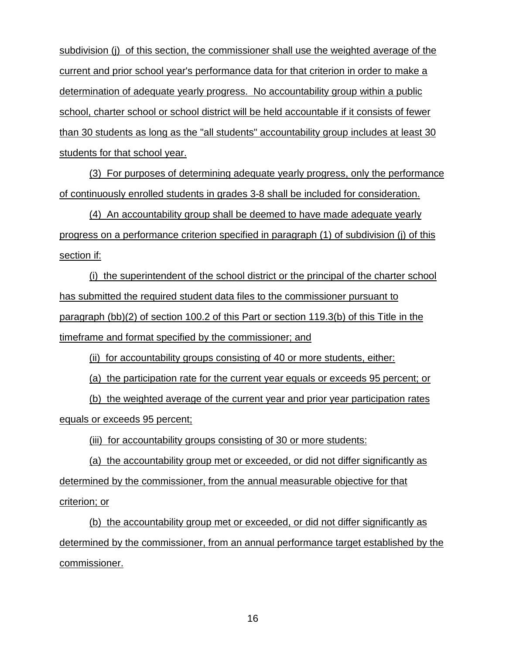subdivision (j) of this section, the commissioner shall use the weighted average of the current and prior school year's performance data for that criterion in order to make a determination of adequate yearly progress. No accountability group within a public school, charter school or school district will be held accountable if it consists of fewer than 30 students as long as the "all students" accountability group includes at least 30 students for that school year.

(3) For purposes of determining adequate yearly progress, only the performance of continuously enrolled students in grades 3-8 shall be included for consideration.

(4) An accountability group shall be deemed to have made adequate yearly progress on a performance criterion specified in paragraph (1) of subdivision (j) of this section if:

(i) the superintendent of the school district or the principal of the charter school has submitted the required student data files to the commissioner pursuant to paragraph (bb)(2) of section 100.2 of this Part or section 119.3(b) of this Title in the timeframe and format specified by the commissioner; and

(ii) for accountability groups consisting of 40 or more students, either:

(a) the participation rate for the current year equals or exceeds 95 percent; or

(b) the weighted average of the current year and prior year participation rates equals or exceeds 95 percent;

(iii) for accountability groups consisting of 30 or more students:

(a) the accountability group met or exceeded, or did not differ significantly as determined by the commissioner, from the annual measurable objective for that criterion; or

(b) the accountability group met or exceeded, or did not differ significantly as determined by the commissioner, from an annual performance target established by the commissioner.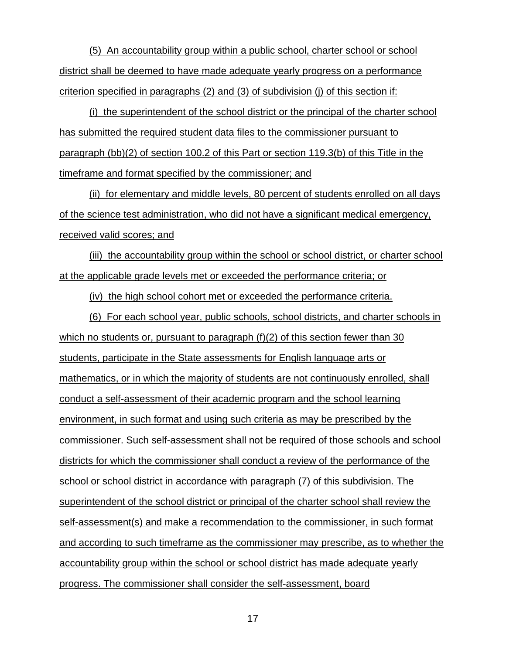(5) An accountability group within a public school, charter school or school district shall be deemed to have made adequate yearly progress on a performance criterion specified in paragraphs  $(2)$  and  $(3)$  of subdivision (i) of this section if:

(i) the superintendent of the school district or the principal of the charter school has submitted the required student data files to the commissioner pursuant to paragraph (bb)(2) of section 100.2 of this Part or section 119.3(b) of this Title in the timeframe and format specified by the commissioner; and

(ii) for elementary and middle levels, 80 percent of students enrolled on all days of the science test administration, who did not have a significant medical emergency, received valid scores; and

(iii) the accountability group within the school or school district, or charter school at the applicable grade levels met or exceeded the performance criteria; or

(iv) the high school cohort met or exceeded the performance criteria.

(6) For each school year, public schools, school districts, and charter schools in which no students or, pursuant to paragraph (f)(2) of this section fewer than 30 students, participate in the State assessments for English language arts or mathematics, or in which the majority of students are not continuously enrolled, shall conduct a self-assessment of their academic program and the school learning environment, in such format and using such criteria as may be prescribed by the commissioner. Such self-assessment shall not be required of those schools and school districts for which the commissioner shall conduct a review of the performance of the school or school district in accordance with paragraph (7) of this subdivision. The superintendent of the school district or principal of the charter school shall review the self-assessment(s) and make a recommendation to the commissioner, in such format and according to such timeframe as the commissioner may prescribe, as to whether the accountability group within the school or school district has made adequate yearly progress. The commissioner shall consider the self-assessment, board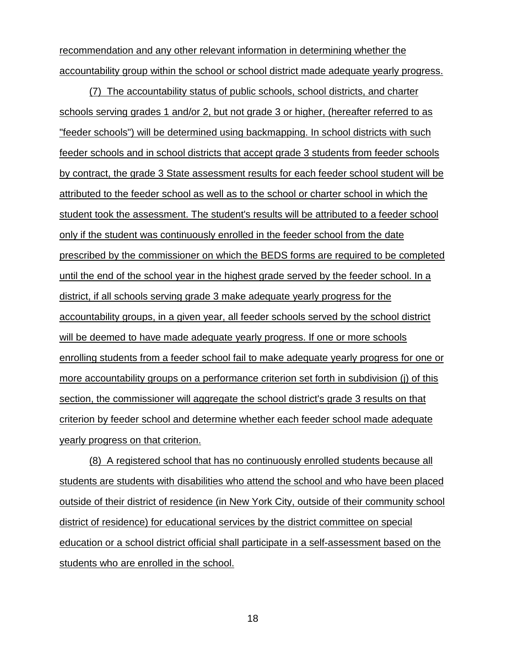recommendation and any other relevant information in determining whether the accountability group within the school or school district made adequate yearly progress.

(7) The accountability status of public schools, school districts, and charter schools serving grades 1 and/or 2, but not grade 3 or higher, (hereafter referred to as "feeder schools") will be determined using backmapping. In school districts with such feeder schools and in school districts that accept grade 3 students from feeder schools by contract, the grade 3 State assessment results for each feeder school student will be attributed to the feeder school as well as to the school or charter school in which the student took the assessment. The student's results will be attributed to a feeder school only if the student was continuously enrolled in the feeder school from the date prescribed by the commissioner on which the BEDS forms are required to be completed until the end of the school year in the highest grade served by the feeder school. In a district, if all schools serving grade 3 make adequate yearly progress for the accountability groups, in a given year, all feeder schools served by the school district will be deemed to have made adequate yearly progress. If one or more schools enrolling students from a feeder school fail to make adequate yearly progress for one or more accountability groups on a performance criterion set forth in subdivision (j) of this section, the commissioner will aggregate the school district's grade 3 results on that criterion by feeder school and determine whether each feeder school made adequate yearly progress on that criterion.

(8) A registered school that has no continuously enrolled students because all students are students with disabilities who attend the school and who have been placed outside of their district of residence (in New York City, outside of their community school district of residence) for educational services by the district committee on special education or a school district official shall participate in a self-assessment based on the students who are enrolled in the school.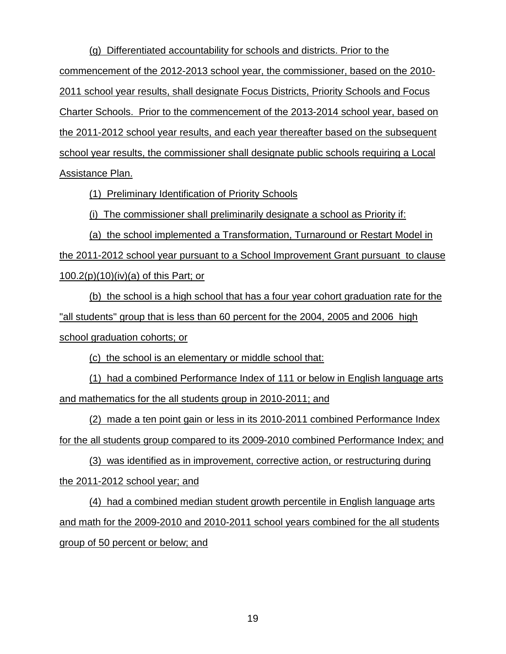(g) Differentiated accountability for schools and districts. Prior to the commencement of the 2012-2013 school year, the commissioner, based on the 2010- 2011 school year results, shall designate Focus Districts, Priority Schools and Focus Charter Schools. Prior to the commencement of the 2013-2014 school year, based on the 2011-2012 school year results, and each year thereafter based on the subsequent school year results, the commissioner shall designate public schools requiring a Local Assistance Plan.

(1) Preliminary Identification of Priority Schools

(i) The commissioner shall preliminarily designate a school as Priority if:

(a) the school implemented a Transformation, Turnaround or Restart Model in the 2011-2012 school year pursuant to a School Improvement Grant pursuant to clause 100.2(p)(10)(iv)(a) of this Part; or

(b) the school is a high school that has a four year cohort graduation rate for the "all students" group that is less than 60 percent for the 2004, 2005 and 2006 high school graduation cohorts; or

(c) the school is an elementary or middle school that:

(1) had a combined Performance Index of 111 or below in English language arts and mathematics for the all students group in 2010-2011; and

(2) made a ten point gain or less in its 2010-2011 combined Performance Index for the all students group compared to its 2009-2010 combined Performance Index; and

(3) was identified as in improvement, corrective action, or restructuring during the 2011-2012 school year; and

(4) had a combined median student growth percentile in English language arts and math for the 2009-2010 and 2010-2011 school years combined for the all students group of 50 percent or below; and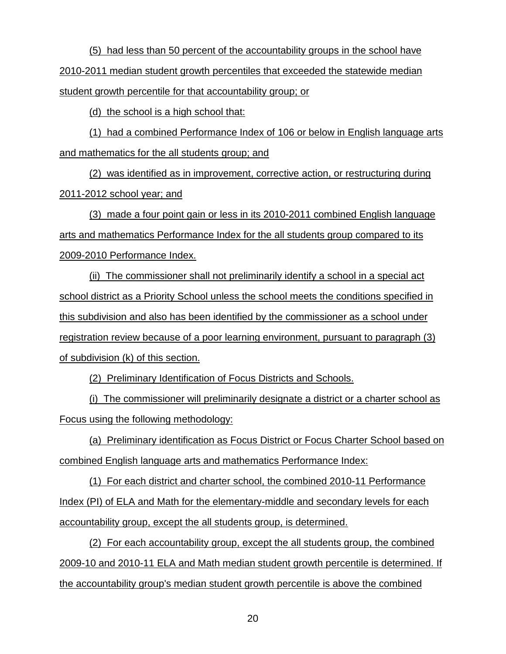(5) had less than 50 percent of the accountability groups in the school have 2010-2011 median student growth percentiles that exceeded the statewide median student growth percentile for that accountability group; or

(d) the school is a high school that:

(1) had a combined Performance Index of 106 or below in English language arts and mathematics for the all students group; and

(2) was identified as in improvement, corrective action, or restructuring during 2011-2012 school year; and

(3) made a four point gain or less in its 2010-2011 combined English language arts and mathematics Performance Index for the all students group compared to its 2009-2010 Performance Index.

(ii) The commissioner shall not preliminarily identify a school in a special act school district as a Priority School unless the school meets the conditions specified in this subdivision and also has been identified by the commissioner as a school under registration review because of a poor learning environment, pursuant to paragraph (3) of subdivision (k) of this section.

(2) Preliminary Identification of Focus Districts and Schools.

(i) The commissioner will preliminarily designate a district or a charter school as Focus using the following methodology:

(a) Preliminary identification as Focus District or Focus Charter School based on combined English language arts and mathematics Performance Index:

(1) For each district and charter school, the combined 2010-11 Performance Index (PI) of ELA and Math for the elementary-middle and secondary levels for each accountability group, except the all students group, is determined.

(2) For each accountability group, except the all students group, the combined 2009-10 and 2010-11 ELA and Math median student growth percentile is determined. If the accountability group's median student growth percentile is above the combined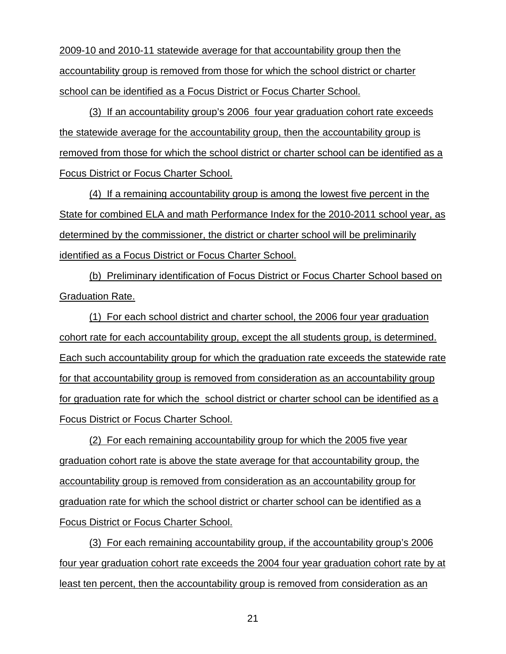2009-10 and 2010-11 statewide average for that accountability group then the accountability group is removed from those for which the school district or charter school can be identified as a Focus District or Focus Charter School.

(3) If an accountability group's 2006 four year graduation cohort rate exceeds the statewide average for the accountability group, then the accountability group is removed from those for which the school district or charter school can be identified as a Focus District or Focus Charter School.

(4) If a remaining accountability group is among the lowest five percent in the State for combined ELA and math Performance Index for the 2010-2011 school year, as determined by the commissioner, the district or charter school will be preliminarily identified as a Focus District or Focus Charter School.

(b) Preliminary identification of Focus District or Focus Charter School based on Graduation Rate.

(1) For each school district and charter school, the 2006 four year graduation cohort rate for each accountability group, except the all students group, is determined. Each such accountability group for which the graduation rate exceeds the statewide rate for that accountability group is removed from consideration as an accountability group for graduation rate for which the school district or charter school can be identified as a Focus District or Focus Charter School.

(2) For each remaining accountability group for which the 2005 five year graduation cohort rate is above the state average for that accountability group, the accountability group is removed from consideration as an accountability group for graduation rate for which the school district or charter school can be identified as a Focus District or Focus Charter School.

(3) For each remaining accountability group, if the accountability group's 2006 four year graduation cohort rate exceeds the 2004 four year graduation cohort rate by at least ten percent, then the accountability group is removed from consideration as an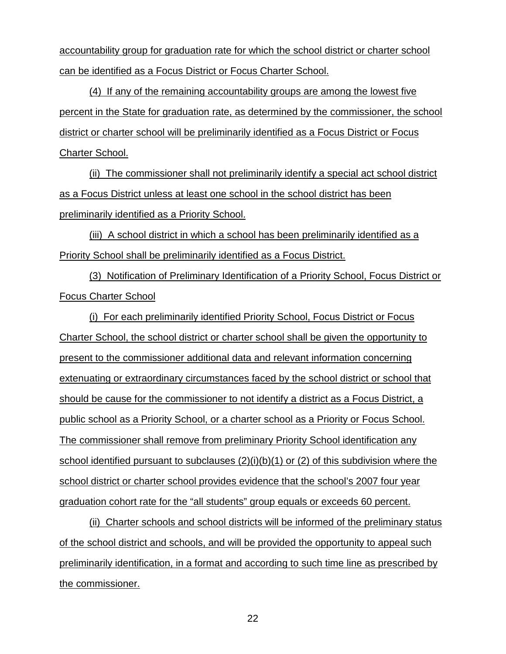accountability group for graduation rate for which the school district or charter school can be identified as a Focus District or Focus Charter School.

(4) If any of the remaining accountability groups are among the lowest five percent in the State for graduation rate, as determined by the commissioner, the school district or charter school will be preliminarily identified as a Focus District or Focus Charter School.

(ii) The commissioner shall not preliminarily identify a special act school district as a Focus District unless at least one school in the school district has been preliminarily identified as a Priority School.

(iii) A school district in which a school has been preliminarily identified as a Priority School shall be preliminarily identified as a Focus District.

(3) Notification of Preliminary Identification of a Priority School, Focus District or Focus Charter School

(i) For each preliminarily identified Priority School, Focus District or Focus Charter School, the school district or charter school shall be given the opportunity to present to the commissioner additional data and relevant information concerning extenuating or extraordinary circumstances faced by the school district or school that should be cause for the commissioner to not identify a district as a Focus District, a public school as a Priority School, or a charter school as a Priority or Focus School. The commissioner shall remove from preliminary Priority School identification any school identified pursuant to subclauses (2)(i)(b)(1) or (2) of this subdivision where the school district or charter school provides evidence that the school's 2007 four year graduation cohort rate for the "all students" group equals or exceeds 60 percent.

(ii) Charter schools and school districts will be informed of the preliminary status of the school district and schools, and will be provided the opportunity to appeal such preliminarily identification, in a format and according to such time line as prescribed by the commissioner.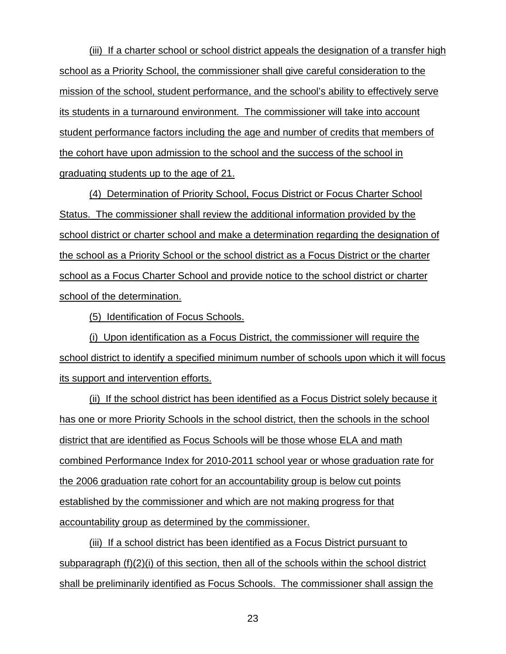(iii) If a charter school or school district appeals the designation of a transfer high school as a Priority School, the commissioner shall give careful consideration to the mission of the school, student performance, and the school's ability to effectively serve its students in a turnaround environment. The commissioner will take into account student performance factors including the age and number of credits that members of the cohort have upon admission to the school and the success of the school in graduating students up to the age of 21.

(4) Determination of Priority School, Focus District or Focus Charter School Status. The commissioner shall review the additional information provided by the school district or charter school and make a determination regarding the designation of the school as a Priority School or the school district as a Focus District or the charter school as a Focus Charter School and provide notice to the school district or charter school of the determination.

(5) Identification of Focus Schools.

(i) Upon identification as a Focus District, the commissioner will require the school district to identify a specified minimum number of schools upon which it will focus its support and intervention efforts.

(ii) If the school district has been identified as a Focus District solely because it has one or more Priority Schools in the school district, then the schools in the school district that are identified as Focus Schools will be those whose ELA and math combined Performance Index for 2010-2011 school year or whose graduation rate for the 2006 graduation rate cohort for an accountability group is below cut points established by the commissioner and which are not making progress for that accountability group as determined by the commissioner.

(iii) If a school district has been identified as a Focus District pursuant to subparagraph (f)(2)(i) of this section, then all of the schools within the school district shall be preliminarily identified as Focus Schools. The commissioner shall assign the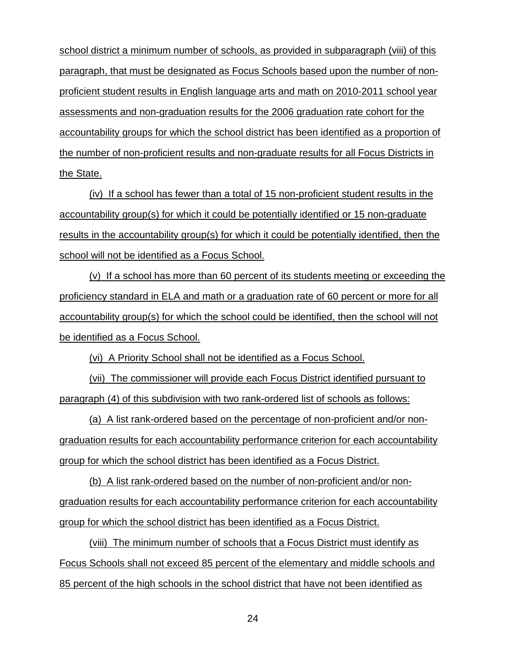school district a minimum number of schools, as provided in subparagraph (viii) of this paragraph, that must be designated as Focus Schools based upon the number of nonproficient student results in English language arts and math on 2010-2011 school year assessments and non-graduation results for the 2006 graduation rate cohort for the accountability groups for which the school district has been identified as a proportion of the number of non-proficient results and non-graduate results for all Focus Districts in the State.

(iv) If a school has fewer than a total of 15 non-proficient student results in the accountability group(s) for which it could be potentially identified or 15 non-graduate results in the accountability group(s) for which it could be potentially identified, then the school will not be identified as a Focus School.

(v) If a school has more than 60 percent of its students meeting or exceeding the proficiency standard in ELA and math or a graduation rate of 60 percent or more for all accountability group(s) for which the school could be identified, then the school will not be identified as a Focus School.

(vi) A Priority School shall not be identified as a Focus School.

(vii) The commissioner will provide each Focus District identified pursuant to paragraph (4) of this subdivision with two rank-ordered list of schools as follows:

(a) A list rank-ordered based on the percentage of non-proficient and/or nongraduation results for each accountability performance criterion for each accountability group for which the school district has been identified as a Focus District.

(b) A list rank-ordered based on the number of non-proficient and/or nongraduation results for each accountability performance criterion for each accountability group for which the school district has been identified as a Focus District.

(viii) The minimum number of schools that a Focus District must identify as Focus Schools shall not exceed 85 percent of the elementary and middle schools and 85 percent of the high schools in the school district that have not been identified as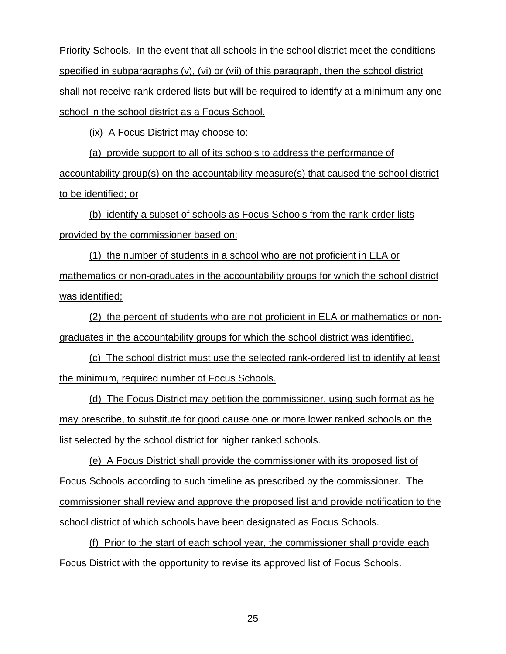Priority Schools. In the event that all schools in the school district meet the conditions specified in subparagraphs (v), (vi) or (vii) of this paragraph, then the school district shall not receive rank-ordered lists but will be required to identify at a minimum any one school in the school district as a Focus School.

(ix) A Focus District may choose to:

(a) provide support to all of its schools to address the performance of accountability group(s) on the accountability measure(s) that caused the school district to be identified; or

(b) identify a subset of schools as Focus Schools from the rank-order lists provided by the commissioner based on:

(1) the number of students in a school who are not proficient in ELA or mathematics or non-graduates in the accountability groups for which the school district was identified;

(2) the percent of students who are not proficient in ELA or mathematics or nongraduates in the accountability groups for which the school district was identified.

(c) The school district must use the selected rank-ordered list to identify at least the minimum, required number of Focus Schools.

(d) The Focus District may petition the commissioner, using such format as he may prescribe, to substitute for good cause one or more lower ranked schools on the list selected by the school district for higher ranked schools.

(e) A Focus District shall provide the commissioner with its proposed list of Focus Schools according to such timeline as prescribed by the commissioner. The commissioner shall review and approve the proposed list and provide notification to the school district of which schools have been designated as Focus Schools.

(f) Prior to the start of each school year, the commissioner shall provide each Focus District with the opportunity to revise its approved list of Focus Schools.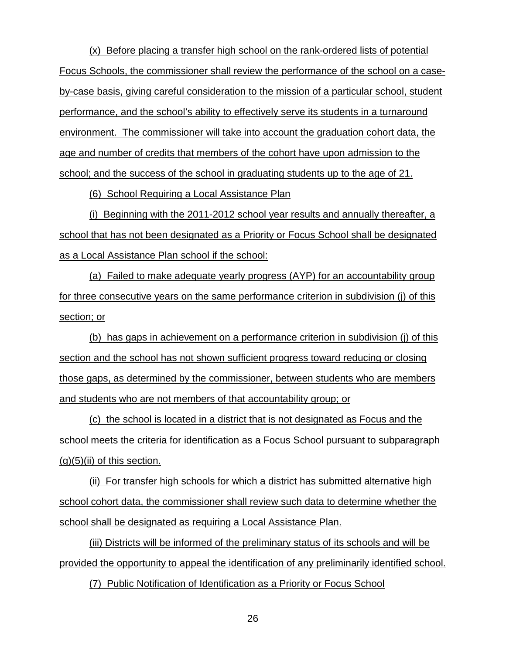(x) Before placing a transfer high school on the rank-ordered lists of potential Focus Schools, the commissioner shall review the performance of the school on a caseby-case basis, giving careful consideration to the mission of a particular school, student performance, and the school's ability to effectively serve its students in a turnaround environment. The commissioner will take into account the graduation cohort data, the age and number of credits that members of the cohort have upon admission to the school; and the success of the school in graduating students up to the age of 21.

(6) School Requiring a Local Assistance Plan

(i) Beginning with the 2011-2012 school year results and annually thereafter, a school that has not been designated as a Priority or Focus School shall be designated as a Local Assistance Plan school if the school:

(a) Failed to make adequate yearly progress (AYP) for an accountability group for three consecutive years on the same performance criterion in subdivision (j) of this section; or

(b) has gaps in achievement on a performance criterion in subdivision (j) of this section and the school has not shown sufficient progress toward reducing or closing those gaps, as determined by the commissioner, between students who are members and students who are not members of that accountability group; or

(c) the school is located in a district that is not designated as Focus and the school meets the criteria for identification as a Focus School pursuant to subparagraph  $(q)(5)(ii)$  of this section.

(ii) For transfer high schools for which a district has submitted alternative high school cohort data, the commissioner shall review such data to determine whether the school shall be designated as requiring a Local Assistance Plan.

(iii) Districts will be informed of the preliminary status of its schools and will be provided the opportunity to appeal the identification of any preliminarily identified school.

(7) Public Notification of Identification as a Priority or Focus School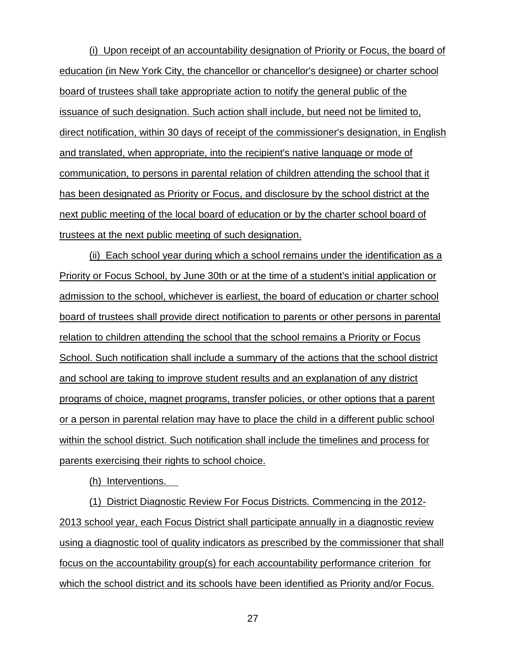(i) Upon receipt of an accountability designation of Priority or Focus, the board of education (in New York City, the chancellor or chancellor's designee) or charter school board of trustees shall take appropriate action to notify the general public of the issuance of such designation. Such action shall include, but need not be limited to, direct notification, within 30 days of receipt of the commissioner's designation, in English and translated, when appropriate, into the recipient's native language or mode of communication, to persons in parental relation of children attending the school that it has been designated as Priority or Focus, and disclosure by the school district at the next public meeting of the local board of education or by the charter school board of trustees at the next public meeting of such designation.

(ii) Each school year during which a school remains under the identification as a Priority or Focus School, by June 30th or at the time of a student's initial application or admission to the school, whichever is earliest, the board of education or charter school board of trustees shall provide direct notification to parents or other persons in parental relation to children attending the school that the school remains a Priority or Focus School. Such notification shall include a summary of the actions that the school district and school are taking to improve student results and an explanation of any district programs of choice, magnet programs, transfer policies, or other options that a parent or a person in parental relation may have to place the child in a different public school within the school district. Such notification shall include the timelines and process for parents exercising their rights to school choice.

(h) Interventions.

(1) District Diagnostic Review For Focus Districts. Commencing in the 2012- 2013 school year, each Focus District shall participate annually in a diagnostic review using a diagnostic tool of quality indicators as prescribed by the commissioner that shall focus on the accountability group(s) for each accountability performance criterion for which the school district and its schools have been identified as Priority and/or Focus.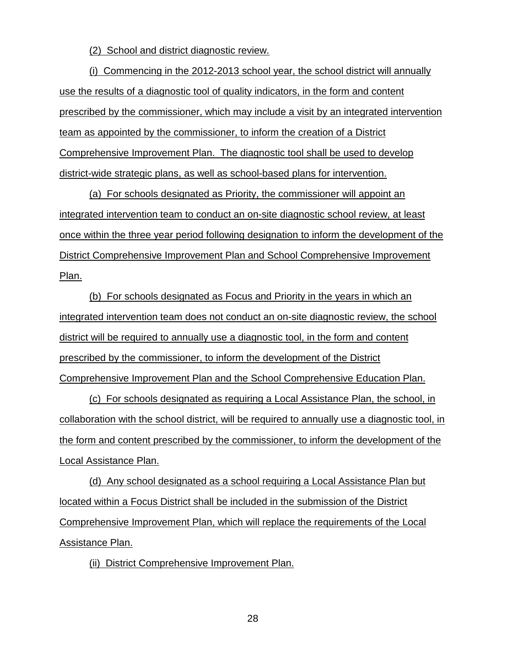(2) School and district diagnostic review.

(i) Commencing in the 2012-2013 school year, the school district will annually use the results of a diagnostic tool of quality indicators, in the form and content prescribed by the commissioner, which may include a visit by an integrated intervention team as appointed by the commissioner, to inform the creation of a District Comprehensive Improvement Plan. The diagnostic tool shall be used to develop district-wide strategic plans, as well as school-based plans for intervention.

(a) For schools designated as Priority, the commissioner will appoint an integrated intervention team to conduct an on-site diagnostic school review, at least once within the three year period following designation to inform the development of the District Comprehensive Improvement Plan and School Comprehensive Improvement Plan.

(b) For schools designated as Focus and Priority in the years in which an integrated intervention team does not conduct an on-site diagnostic review, the school district will be required to annually use a diagnostic tool, in the form and content prescribed by the commissioner, to inform the development of the District Comprehensive Improvement Plan and the School Comprehensive Education Plan.

(c) For schools designated as requiring a Local Assistance Plan, the school, in collaboration with the school district, will be required to annually use a diagnostic tool, in the form and content prescribed by the commissioner, to inform the development of the Local Assistance Plan.

(d) Any school designated as a school requiring a Local Assistance Plan but located within a Focus District shall be included in the submission of the District Comprehensive Improvement Plan, which will replace the requirements of the Local Assistance Plan.

(ii) District Comprehensive Improvement Plan.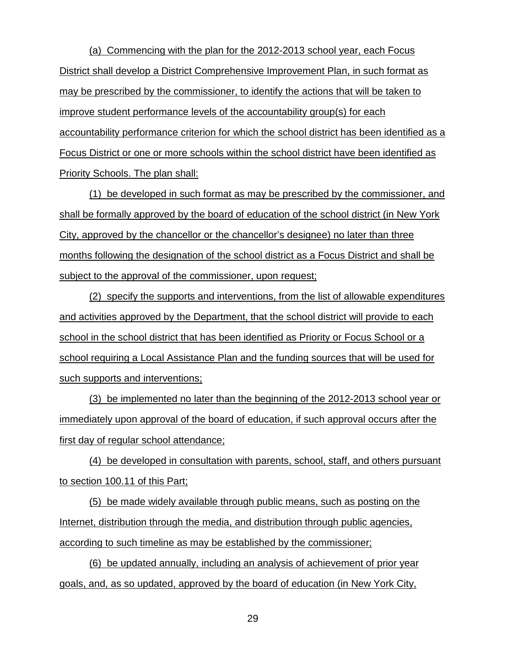(a) Commencing with the plan for the 2012-2013 school year, each Focus District shall develop a District Comprehensive Improvement Plan, in such format as may be prescribed by the commissioner, to identify the actions that will be taken to improve student performance levels of the accountability group(s) for each accountability performance criterion for which the school district has been identified as a Focus District or one or more schools within the school district have been identified as Priority Schools. The plan shall:

(1) be developed in such format as may be prescribed by the commissioner, and shall be formally approved by the board of education of the school district (in New York City, approved by the chancellor or the chancellor's designee) no later than three months following the designation of the school district as a Focus District and shall be subject to the approval of the commissioner, upon request;

(2) specify the supports and interventions, from the list of allowable expenditures and activities approved by the Department, that the school district will provide to each school in the school district that has been identified as Priority or Focus School or a school requiring a Local Assistance Plan and the funding sources that will be used for such supports and interventions;

(3) be implemented no later than the beginning of the 2012-2013 school year or immediately upon approval of the board of education, if such approval occurs after the first day of regular school attendance;

(4) be developed in consultation with parents, school, staff, and others pursuant to section 100.11 of this Part;

(5) be made widely available through public means, such as posting on the Internet, distribution through the media, and distribution through public agencies, according to such timeline as may be established by the commissioner;

(6) be updated annually, including an analysis of achievement of prior year goals, and, as so updated, approved by the board of education (in New York City,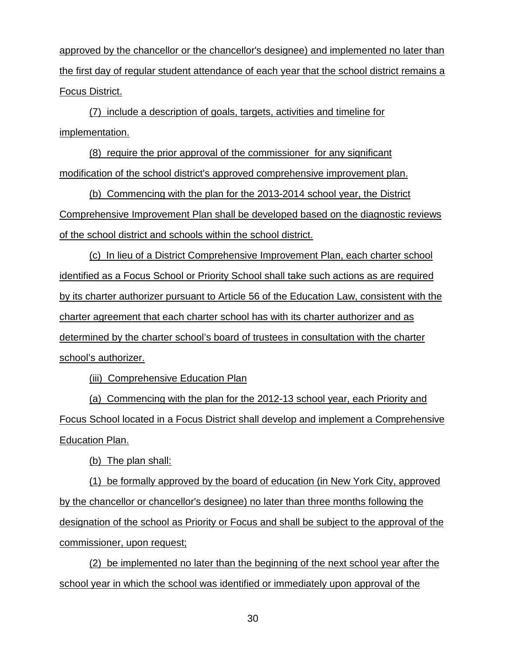approved by the chancellor or the chancellor's designee) and implemented no later than the first day of regular student attendance of each year that the school district remains a Focus District.

(7) include a description of goals, targets, activities and timeline for implementation.

(8) require the prior approval of the commissioner for any significant modification of the school district's approved comprehensive improvement plan.

(b) Commencing with the plan for the 2013-2014 school year, the District Comprehensive Improvement Plan shall be developed based on the diagnostic reviews of the school district and schools within the school district.

(c) In lieu of a District Comprehensive Improvement Plan, each charter school identified as a Focus School or Priority School shall take such actions as are required by its charter authorizer pursuant to Article 56 of the Education Law, consistent with the charter agreement that each charter school has with its charter authorizer and as determined by the charter school's board of trustees in consultation with the charter school's authorizer.

(iii) Comprehensive Education Plan

(a) Commencing with the plan for the 2012-13 school year, each Priority and Focus School located in a Focus District shall develop and implement a Comprehensive **Education Plan.** 

(b) The plan shall:

(1) be formally approved by the board of education (in New York City, approved by the chancellor or chancellor's designee) no later than three months following the designation of the school as Priority or Focus and shall be subject to the approval of the commissioner, upon request;

(2) be implemented no later than the beginning of the next school year after the school year in which the school was identified or immediately upon approval of the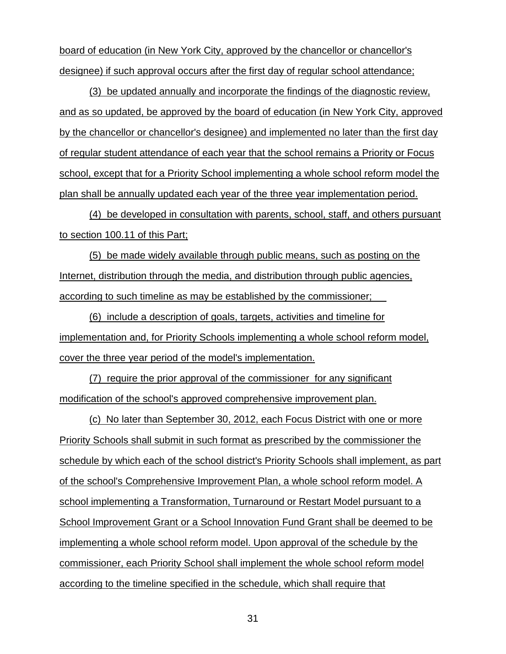board of education (in New York City, approved by the chancellor or chancellor's designee) if such approval occurs after the first day of regular school attendance;

(3) be updated annually and incorporate the findings of the diagnostic review, and as so updated, be approved by the board of education (in New York City, approved by the chancellor or chancellor's designee) and implemented no later than the first day of regular student attendance of each year that the school remains a Priority or Focus school, except that for a Priority School implementing a whole school reform model the plan shall be annually updated each year of the three year implementation period.

(4) be developed in consultation with parents, school, staff, and others pursuant to section 100.11 of this Part;

(5) be made widely available through public means, such as posting on the Internet, distribution through the media, and distribution through public agencies, according to such timeline as may be established by the commissioner;

(6) include a description of goals, targets, activities and timeline for implementation and, for Priority Schools implementing a whole school reform model, cover the three year period of the model's implementation.

(7) require the prior approval of the commissioner for any significant modification of the school's approved comprehensive improvement plan.

(c) No later than September 30, 2012, each Focus District with one or more Priority Schools shall submit in such format as prescribed by the commissioner the schedule by which each of the school district's Priority Schools shall implement, as part of the school's Comprehensive Improvement Plan, a whole school reform model. A school implementing a Transformation, Turnaround or Restart Model pursuant to a School Improvement Grant or a School Innovation Fund Grant shall be deemed to be implementing a whole school reform model. Upon approval of the schedule by the commissioner, each Priority School shall implement the whole school reform model according to the timeline specified in the schedule, which shall require that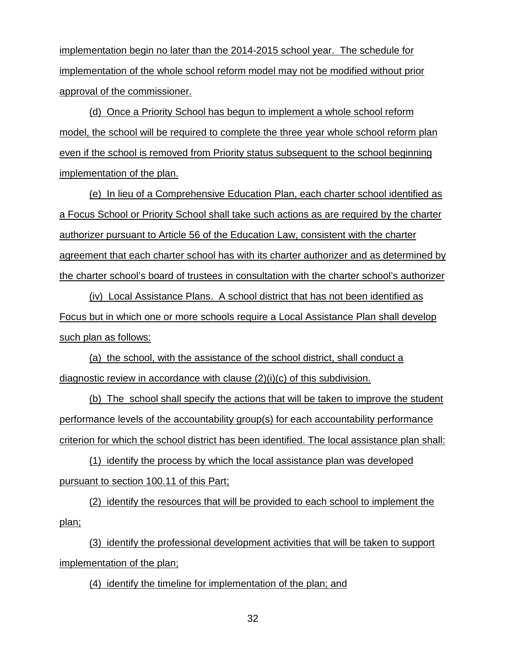implementation begin no later than the 2014-2015 school year. The schedule for implementation of the whole school reform model may not be modified without prior approval of the commissioner.

(d) Once a Priority School has begun to implement a whole school reform model, the school will be required to complete the three year whole school reform plan even if the school is removed from Priority status subsequent to the school beginning implementation of the plan.

(e) In lieu of a Comprehensive Education Plan, each charter school identified as a Focus School or Priority School shall take such actions as are required by the charter authorizer pursuant to Article 56 of the Education Law, consistent with the charter agreement that each charter school has with its charter authorizer and as determined by the charter school's board of trustees in consultation with the charter school's authorizer

(iv) Local Assistance Plans. A school district that has not been identified as Focus but in which one or more schools require a Local Assistance Plan shall develop such plan as follows:

(a) the school, with the assistance of the school district, shall conduct a diagnostic review in accordance with clause (2)(i)(c) of this subdivision.

(b) The school shall specify the actions that will be taken to improve the student performance levels of the accountability group(s) for each accountability performance criterion for which the school district has been identified. The local assistance plan shall:

(1) identify the process by which the local assistance plan was developed pursuant to section 100.11 of this Part;

(2) identify the resources that will be provided to each school to implement the plan;

(3) identify the professional development activities that will be taken to support implementation of the plan;

(4) identify the timeline for implementation of the plan; and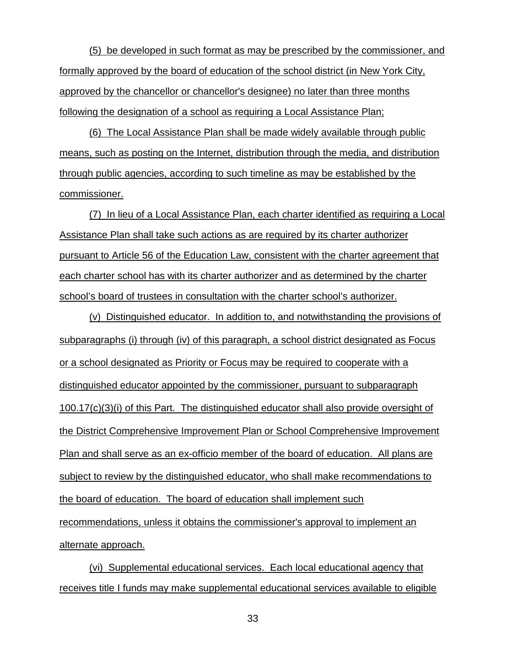(5) be developed in such format as may be prescribed by the commissioner, and formally approved by the board of education of the school district (in New York City, approved by the chancellor or chancellor's designee) no later than three months following the designation of a school as requiring a Local Assistance Plan;

(6) The Local Assistance Plan shall be made widely available through public means, such as posting on the Internet, distribution through the media, and distribution through public agencies, according to such timeline as may be established by the commissioner.

(7) In lieu of a Local Assistance Plan, each charter identified as requiring a Local Assistance Plan shall take such actions as are required by its charter authorizer pursuant to Article 56 of the Education Law, consistent with the charter agreement that each charter school has with its charter authorizer and as determined by the charter school's board of trustees in consultation with the charter school's authorizer.

(v) Distinguished educator. In addition to, and notwithstanding the provisions of subparagraphs (i) through (iv) of this paragraph, a school district designated as Focus or a school designated as Priority or Focus may be required to cooperate with a distinguished educator appointed by the commissioner, pursuant to subparagraph 100.17(c)(3)(i) of this Part. The distinguished educator shall also provide oversight of the District Comprehensive Improvement Plan or School Comprehensive Improvement Plan and shall serve as an ex-officio member of the board of education. All plans are subject to review by the distinguished educator, who shall make recommendations to the board of education. The board of education shall implement such recommendations, unless it obtains the commissioner's approval to implement an alternate approach.

(vi) Supplemental educational services. Each local educational agency that receives title I funds may make supplemental educational services available to eligible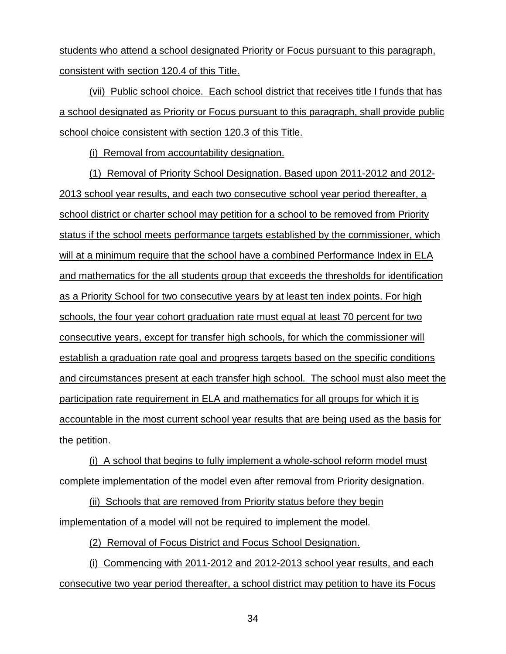students who attend a school designated Priority or Focus pursuant to this paragraph, consistent with section 120.4 of this Title.

(vii) Public school choice. Each school district that receives title I funds that has a school designated as Priority or Focus pursuant to this paragraph, shall provide public school choice consistent with section 120.3 of this Title.

(i) Removal from accountability designation.

(1) Removal of Priority School Designation. Based upon 2011-2012 and 2012- 2013 school year results, and each two consecutive school year period thereafter, a school district or charter school may petition for a school to be removed from Priority status if the school meets performance targets established by the commissioner, which will at a minimum require that the school have a combined Performance Index in ELA and mathematics for the all students group that exceeds the thresholds for identification as a Priority School for two consecutive years by at least ten index points. For high schools, the four year cohort graduation rate must equal at least 70 percent for two consecutive years, except for transfer high schools, for which the commissioner will establish a graduation rate goal and progress targets based on the specific conditions and circumstances present at each transfer high school. The school must also meet the participation rate requirement in ELA and mathematics for all groups for which it is accountable in the most current school year results that are being used as the basis for the petition.

(i) A school that begins to fully implement a whole-school reform model must complete implementation of the model even after removal from Priority designation.

(ii) Schools that are removed from Priority status before they begin implementation of a model will not be required to implement the model.

(2) Removal of Focus District and Focus School Designation.

(i) Commencing with 2011-2012 and 2012-2013 school year results, and each consecutive two year period thereafter, a school district may petition to have its Focus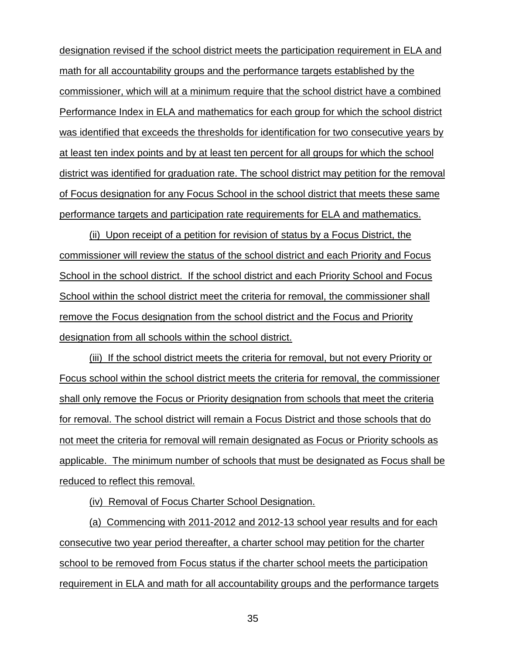designation revised if the school district meets the participation requirement in ELA and math for all accountability groups and the performance targets established by the commissioner, which will at a minimum require that the school district have a combined Performance Index in ELA and mathematics for each group for which the school district was identified that exceeds the thresholds for identification for two consecutive years by at least ten index points and by at least ten percent for all groups for which the school district was identified for graduation rate. The school district may petition for the removal of Focus designation for any Focus School in the school district that meets these same performance targets and participation rate requirements for ELA and mathematics.

(ii) Upon receipt of a petition for revision of status by a Focus District, the commissioner will review the status of the school district and each Priority and Focus School in the school district. If the school district and each Priority School and Focus School within the school district meet the criteria for removal, the commissioner shall remove the Focus designation from the school district and the Focus and Priority designation from all schools within the school district.

(iii) If the school district meets the criteria for removal, but not every Priority or Focus school within the school district meets the criteria for removal, the commissioner shall only remove the Focus or Priority designation from schools that meet the criteria for removal. The school district will remain a Focus District and those schools that do not meet the criteria for removal will remain designated as Focus or Priority schools as applicable. The minimum number of schools that must be designated as Focus shall be reduced to reflect this removal.

(iv) Removal of Focus Charter School Designation.

(a) Commencing with 2011-2012 and 2012-13 school year results and for each consecutive two year period thereafter, a charter school may petition for the charter school to be removed from Focus status if the charter school meets the participation requirement in ELA and math for all accountability groups and the performance targets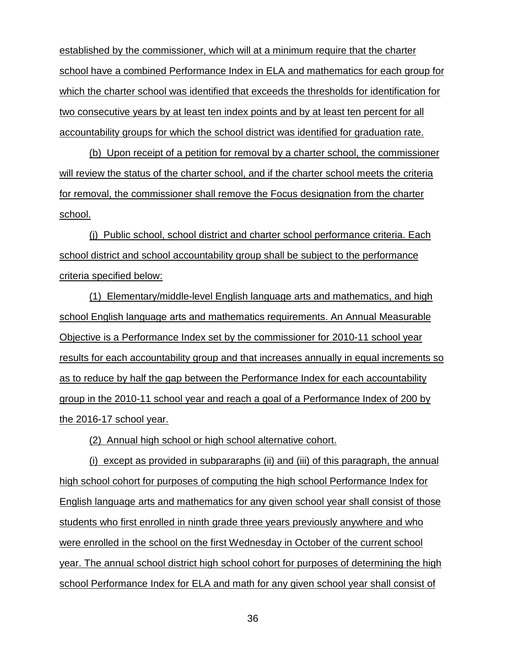established by the commissioner, which will at a minimum require that the charter school have a combined Performance Index in ELA and mathematics for each group for which the charter school was identified that exceeds the thresholds for identification for two consecutive years by at least ten index points and by at least ten percent for all accountability groups for which the school district was identified for graduation rate.

(b) Upon receipt of a petition for removal by a charter school, the commissioner will review the status of the charter school, and if the charter school meets the criteria for removal, the commissioner shall remove the Focus designation from the charter school.

(j) Public school, school district and charter school performance criteria. Each school district and school accountability group shall be subject to the performance criteria specified below:

(1) Elementary/middle-level English language arts and mathematics, and high school English language arts and mathematics requirements. An Annual Measurable Objective is a Performance Index set by the commissioner for 2010-11 school year results for each accountability group and that increases annually in equal increments so as to reduce by half the gap between the Performance Index for each accountability group in the 2010-11 school year and reach a goal of a Performance Index of 200 by the 2016-17 school year.

(2) Annual high school or high school alternative cohort.

(i) except as provided in subpararaphs (ii) and (iii) of this paragraph, the annual high school cohort for purposes of computing the high school Performance Index for English language arts and mathematics for any given school year shall consist of those students who first enrolled in ninth grade three years previously anywhere and who were enrolled in the school on the first Wednesday in October of the current school year. The annual school district high school cohort for purposes of determining the high school Performance Index for ELA and math for any given school year shall consist of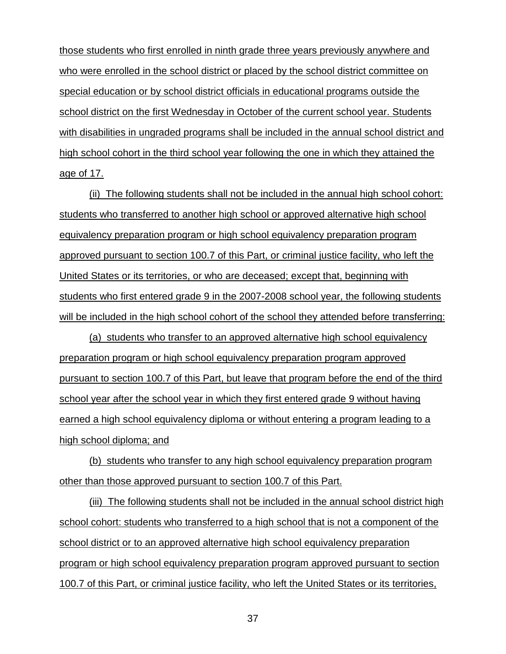those students who first enrolled in ninth grade three years previously anywhere and who were enrolled in the school district or placed by the school district committee on special education or by school district officials in educational programs outside the school district on the first Wednesday in October of the current school year. Students with disabilities in ungraded programs shall be included in the annual school district and high school cohort in the third school year following the one in which they attained the age of 17.

(ii) The following students shall not be included in the annual high school cohort: students who transferred to another high school or approved alternative high school equivalency preparation program or high school equivalency preparation program approved pursuant to section 100.7 of this Part, or criminal justice facility, who left the United States or its territories, or who are deceased; except that, beginning with students who first entered grade 9 in the 2007-2008 school year, the following students will be included in the high school cohort of the school they attended before transferring:

(a) students who transfer to an approved alternative high school equivalency preparation program or high school equivalency preparation program approved pursuant to section 100.7 of this Part, but leave that program before the end of the third school year after the school year in which they first entered grade 9 without having earned a high school equivalency diploma or without entering a program leading to a high school diploma; and

(b) students who transfer to any high school equivalency preparation program other than those approved pursuant to section 100.7 of this Part.

(iii) The following students shall not be included in the annual school district high school cohort: students who transferred to a high school that is not a component of the school district or to an approved alternative high school equivalency preparation program or high school equivalency preparation program approved pursuant to section 100.7 of this Part, or criminal justice facility, who left the United States or its territories,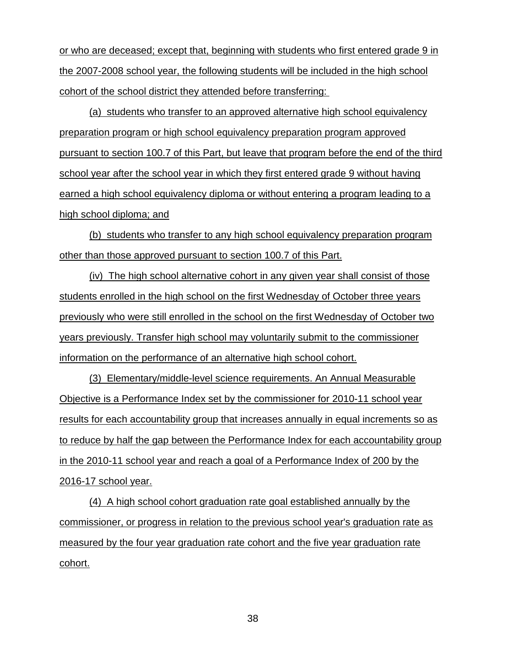or who are deceased; except that, beginning with students who first entered grade 9 in the 2007-2008 school year, the following students will be included in the high school cohort of the school district they attended before transferring:

(a) students who transfer to an approved alternative high school equivalency preparation program or high school equivalency preparation program approved pursuant to section 100.7 of this Part, but leave that program before the end of the third school year after the school year in which they first entered grade 9 without having earned a high school equivalency diploma or without entering a program leading to a high school diploma; and

(b) students who transfer to any high school equivalency preparation program other than those approved pursuant to section 100.7 of this Part.

(iv) The high school alternative cohort in any given year shall consist of those students enrolled in the high school on the first Wednesday of October three years previously who were still enrolled in the school on the first Wednesday of October two years previously. Transfer high school may voluntarily submit to the commissioner information on the performance of an alternative high school cohort.

(3) Elementary/middle-level science requirements. An Annual Measurable Objective is a Performance Index set by the commissioner for 2010-11 school year results for each accountability group that increases annually in equal increments so as to reduce by half the gap between the Performance Index for each accountability group in the 2010-11 school year and reach a goal of a Performance Index of 200 by the 2016-17 school year.

(4) A high school cohort graduation rate goal established annually by the commissioner, or progress in relation to the previous school year's graduation rate as measured by the four year graduation rate cohort and the five year graduation rate cohort.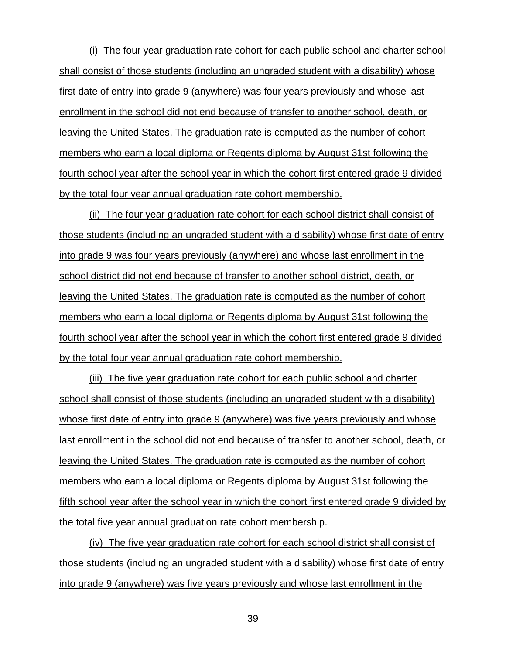(i) The four year graduation rate cohort for each public school and charter school shall consist of those students (including an ungraded student with a disability) whose first date of entry into grade 9 (anywhere) was four years previously and whose last enrollment in the school did not end because of transfer to another school, death, or leaving the United States. The graduation rate is computed as the number of cohort members who earn a local diploma or Regents diploma by August 31st following the fourth school year after the school year in which the cohort first entered grade 9 divided by the total four year annual graduation rate cohort membership.

(ii) The four year graduation rate cohort for each school district shall consist of those students (including an ungraded student with a disability) whose first date of entry into grade 9 was four years previously (anywhere) and whose last enrollment in the school district did not end because of transfer to another school district, death, or leaving the United States. The graduation rate is computed as the number of cohort members who earn a local diploma or Regents diploma by August 31st following the fourth school year after the school year in which the cohort first entered grade 9 divided by the total four year annual graduation rate cohort membership.

(iii) The five year graduation rate cohort for each public school and charter school shall consist of those students (including an ungraded student with a disability) whose first date of entry into grade 9 (anywhere) was five years previously and whose last enrollment in the school did not end because of transfer to another school, death, or leaving the United States. The graduation rate is computed as the number of cohort members who earn a local diploma or Regents diploma by August 31st following the fifth school year after the school year in which the cohort first entered grade 9 divided by the total five year annual graduation rate cohort membership.

(iv) The five year graduation rate cohort for each school district shall consist of those students (including an ungraded student with a disability) whose first date of entry into grade 9 (anywhere) was five years previously and whose last enrollment in the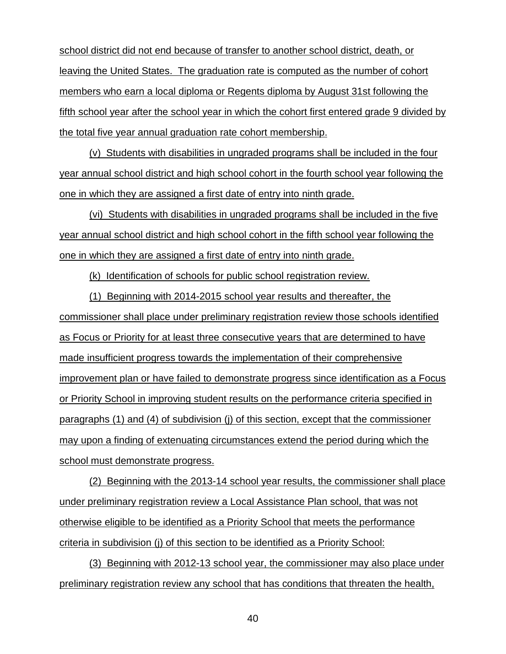school district did not end because of transfer to another school district, death, or leaving the United States. The graduation rate is computed as the number of cohort members who earn a local diploma or Regents diploma by August 31st following the fifth school year after the school year in which the cohort first entered grade 9 divided by the total five year annual graduation rate cohort membership.

(v) Students with disabilities in ungraded programs shall be included in the four year annual school district and high school cohort in the fourth school year following the one in which they are assigned a first date of entry into ninth grade.

(vi) Students with disabilities in ungraded programs shall be included in the five year annual school district and high school cohort in the fifth school year following the one in which they are assigned a first date of entry into ninth grade.

(k) Identification of schools for public school registration review.

(1) Beginning with 2014-2015 school year results and thereafter, the commissioner shall place under preliminary registration review those schools identified as Focus or Priority for at least three consecutive years that are determined to have made insufficient progress towards the implementation of their comprehensive improvement plan or have failed to demonstrate progress since identification as a Focus or Priority School in improving student results on the performance criteria specified in paragraphs (1) and (4) of subdivision (j) of this section, except that the commissioner may upon a finding of extenuating circumstances extend the period during which the school must demonstrate progress.

(2) Beginning with the 2013-14 school year results, the commissioner shall place under preliminary registration review a Local Assistance Plan school, that was not otherwise eligible to be identified as a Priority School that meets the performance criteria in subdivision (j) of this section to be identified as a Priority School:

(3) Beginning with 2012-13 school year, the commissioner may also place under preliminary registration review any school that has conditions that threaten the health,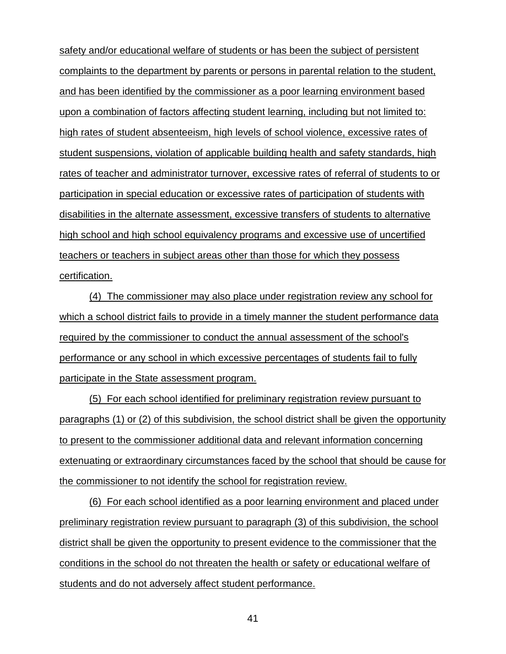safety and/or educational welfare of students or has been the subject of persistent complaints to the department by parents or persons in parental relation to the student, and has been identified by the commissioner as a poor learning environment based upon a combination of factors affecting student learning, including but not limited to: high rates of student absenteeism, high levels of school violence, excessive rates of student suspensions, violation of applicable building health and safety standards, high rates of teacher and administrator turnover, excessive rates of referral of students to or participation in special education or excessive rates of participation of students with disabilities in the alternate assessment, excessive transfers of students to alternative high school and high school equivalency programs and excessive use of uncertified teachers or teachers in subject areas other than those for which they possess certification.

(4) The commissioner may also place under registration review any school for which a school district fails to provide in a timely manner the student performance data required by the commissioner to conduct the annual assessment of the school's performance or any school in which excessive percentages of students fail to fully participate in the State assessment program.

(5) For each school identified for preliminary registration review pursuant to paragraphs (1) or (2) of this subdivision, the school district shall be given the opportunity to present to the commissioner additional data and relevant information concerning extenuating or extraordinary circumstances faced by the school that should be cause for the commissioner to not identify the school for registration review.

(6) For each school identified as a poor learning environment and placed under preliminary registration review pursuant to paragraph (3) of this subdivision, the school district shall be given the opportunity to present evidence to the commissioner that the conditions in the school do not threaten the health or safety or educational welfare of students and do not adversely affect student performance.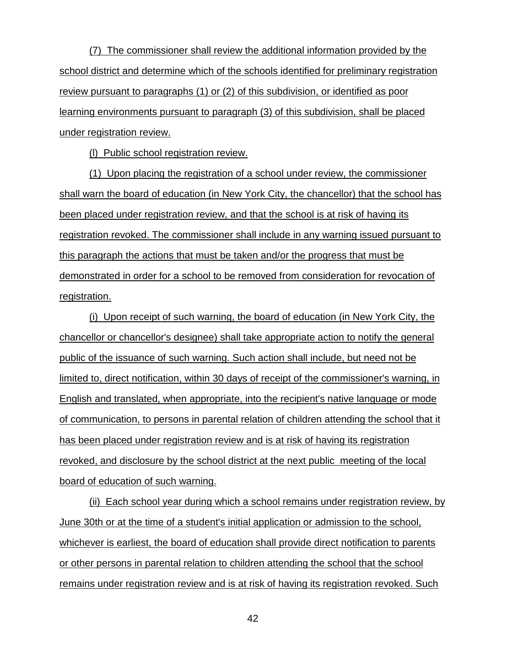(7) The commissioner shall review the additional information provided by the school district and determine which of the schools identified for preliminary registration review pursuant to paragraphs (1) or (2) of this subdivision, or identified as poor learning environments pursuant to paragraph (3) of this subdivision, shall be placed under registration review.

(l) Public school registration review.

(1) Upon placing the registration of a school under review, the commissioner shall warn the board of education (in New York City, the chancellor) that the school has been placed under registration review, and that the school is at risk of having its registration revoked. The commissioner shall include in any warning issued pursuant to this paragraph the actions that must be taken and/or the progress that must be demonstrated in order for a school to be removed from consideration for revocation of registration.

(i) Upon receipt of such warning, the board of education (in New York City, the chancellor or chancellor's designee) shall take appropriate action to notify the general public of the issuance of such warning. Such action shall include, but need not be limited to, direct notification, within 30 days of receipt of the commissioner's warning, in English and translated, when appropriate, into the recipient's native language or mode of communication, to persons in parental relation of children attending the school that it has been placed under registration review and is at risk of having its registration revoked, and disclosure by the school district at the next public meeting of the local board of education of such warning.

(ii) Each school year during which a school remains under registration review, by June 30th or at the time of a student's initial application or admission to the school, whichever is earliest, the board of education shall provide direct notification to parents or other persons in parental relation to children attending the school that the school remains under registration review and is at risk of having its registration revoked. Such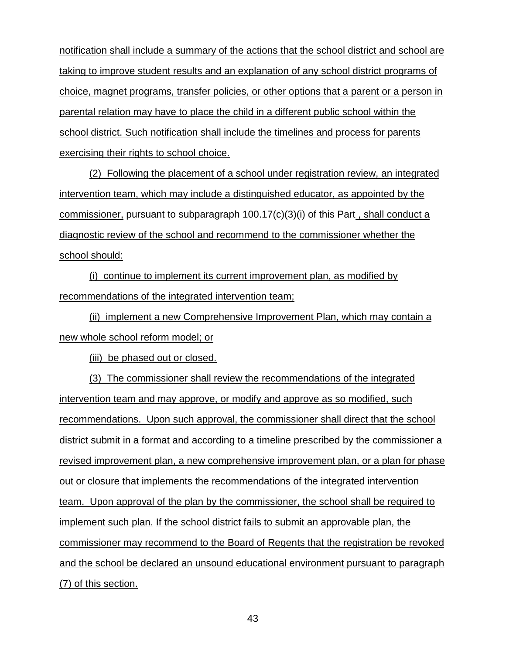notification shall include a summary of the actions that the school district and school are taking to improve student results and an explanation of any school district programs of choice, magnet programs, transfer policies, or other options that a parent or a person in parental relation may have to place the child in a different public school within the school district. Such notification shall include the timelines and process for parents exercising their rights to school choice.

(2) Following the placement of a school under registration review, an integrated intervention team, which may include a distinguished educator, as appointed by the commissioner, pursuant to subparagraph  $100.17(c)(3)(i)$  of this Part, shall conduct a diagnostic review of the school and recommend to the commissioner whether the school should:

(i) continue to implement its current improvement plan, as modified by recommendations of the integrated intervention team;

(ii) implement a new Comprehensive Improvement Plan, which may contain a new whole school reform model; or

(iii) be phased out or closed.

(3) The commissioner shall review the recommendations of the integrated intervention team and may approve, or modify and approve as so modified, such recommendations. Upon such approval, the commissioner shall direct that the school district submit in a format and according to a timeline prescribed by the commissioner a revised improvement plan, a new comprehensive improvement plan, or a plan for phase out or closure that implements the recommendations of the integrated intervention team. Upon approval of the plan by the commissioner, the school shall be required to implement such plan. If the school district fails to submit an approvable plan, the commissioner may recommend to the Board of Regents that the registration be revoked and the school be declared an unsound educational environment pursuant to paragraph (7) of this section.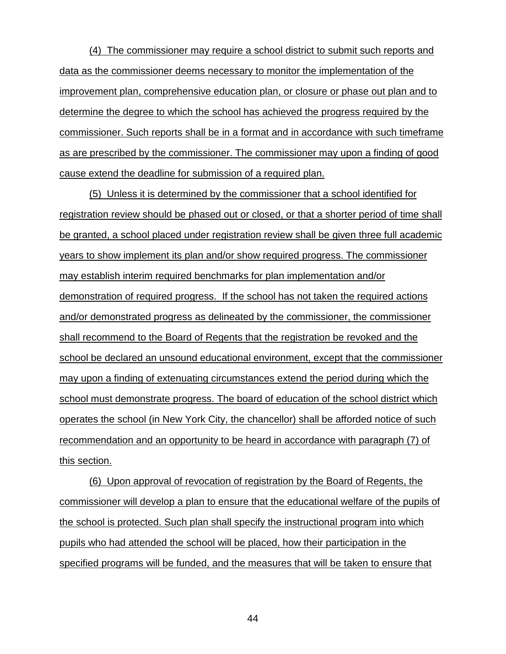(4) The commissioner may require a school district to submit such reports and data as the commissioner deems necessary to monitor the implementation of the improvement plan, comprehensive education plan, or closure or phase out plan and to determine the degree to which the school has achieved the progress required by the commissioner. Such reports shall be in a format and in accordance with such timeframe as are prescribed by the commissioner. The commissioner may upon a finding of good cause extend the deadline for submission of a required plan.

(5) Unless it is determined by the commissioner that a school identified for registration review should be phased out or closed, or that a shorter period of time shall be granted, a school placed under registration review shall be given three full academic years to show implement its plan and/or show required progress. The commissioner may establish interim required benchmarks for plan implementation and/or demonstration of required progress. If the school has not taken the required actions and/or demonstrated progress as delineated by the commissioner, the commissioner shall recommend to the Board of Regents that the registration be revoked and the school be declared an unsound educational environment, except that the commissioner may upon a finding of extenuating circumstances extend the period during which the school must demonstrate progress. The board of education of the school district which operates the school (in New York City, the chancellor) shall be afforded notice of such recommendation and an opportunity to be heard in accordance with paragraph (7) of this section.

(6) Upon approval of revocation of registration by the Board of Regents, the commissioner will develop a plan to ensure that the educational welfare of the pupils of the school is protected. Such plan shall specify the instructional program into which pupils who had attended the school will be placed, how their participation in the specified programs will be funded, and the measures that will be taken to ensure that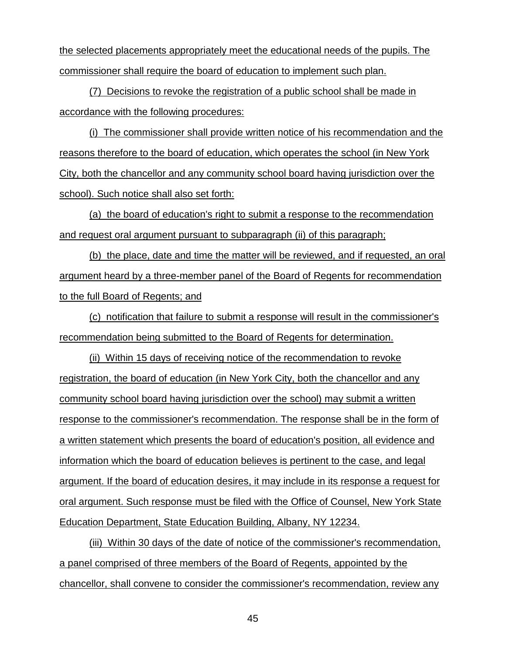the selected placements appropriately meet the educational needs of the pupils. The commissioner shall require the board of education to implement such plan.

(7) Decisions to revoke the registration of a public school shall be made in accordance with the following procedures:

(i) The commissioner shall provide written notice of his recommendation and the reasons therefore to the board of education, which operates the school (in New York City, both the chancellor and any community school board having jurisdiction over the school). Such notice shall also set forth:

(a) the board of education's right to submit a response to the recommendation and request oral argument pursuant to subparagraph (ii) of this paragraph;

(b) the place, date and time the matter will be reviewed, and if requested, an oral argument heard by a three-member panel of the Board of Regents for recommendation to the full Board of Regents; and

(c) notification that failure to submit a response will result in the commissioner's recommendation being submitted to the Board of Regents for determination.

(ii) Within 15 days of receiving notice of the recommendation to revoke registration, the board of education (in New York City, both the chancellor and any community school board having jurisdiction over the school) may submit a written response to the commissioner's recommendation. The response shall be in the form of a written statement which presents the board of education's position, all evidence and information which the board of education believes is pertinent to the case, and legal argument. If the board of education desires, it may include in its response a request for oral argument. Such response must be filed with the Office of Counsel, New York State Education Department, State Education Building, Albany, NY 12234.

(iii) Within 30 days of the date of notice of the commissioner's recommendation, a panel comprised of three members of the Board of Regents, appointed by the chancellor, shall convene to consider the commissioner's recommendation, review any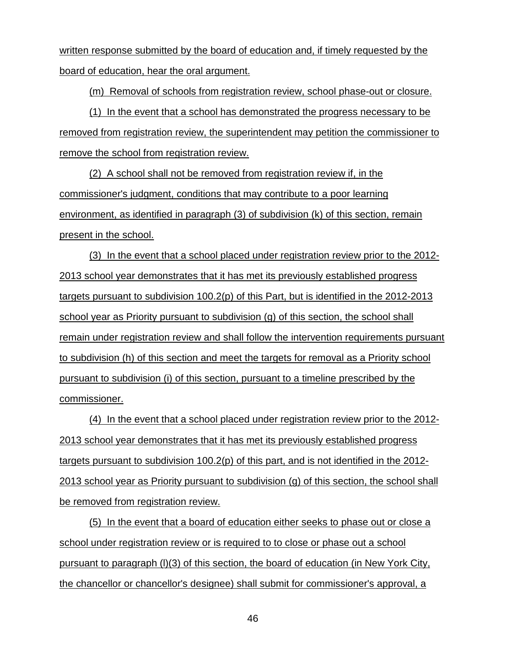written response submitted by the board of education and, if timely requested by the board of education, hear the oral argument.

(m) Removal of schools from registration review, school phase-out or closure.

(1) In the event that a school has demonstrated the progress necessary to be removed from registration review, the superintendent may petition the commissioner to remove the school from registration review.

(2) A school shall not be removed from registration review if, in the commissioner's judgment, conditions that may contribute to a poor learning environment, as identified in paragraph (3) of subdivision (k) of this section, remain present in the school.

(3) In the event that a school placed under registration review prior to the 2012- 2013 school year demonstrates that it has met its previously established progress targets pursuant to subdivision 100.2(p) of this Part, but is identified in the 2012-2013 school year as Priority pursuant to subdivision (g) of this section, the school shall remain under registration review and shall follow the intervention requirements pursuant to subdivision (h) of this section and meet the targets for removal as a Priority school pursuant to subdivision (i) of this section, pursuant to a timeline prescribed by the commissioner.

(4) In the event that a school placed under registration review prior to the 2012- 2013 school year demonstrates that it has met its previously established progress targets pursuant to subdivision 100.2(p) of this part, and is not identified in the 2012- 2013 school year as Priority pursuant to subdivision (g) of this section, the school shall be removed from registration review.

(5) In the event that a board of education either seeks to phase out or close a school under registration review or is required to to close or phase out a school pursuant to paragraph (l)(3) of this section, the board of education (in New York City, the chancellor or chancellor's designee) shall submit for commissioner's approval, a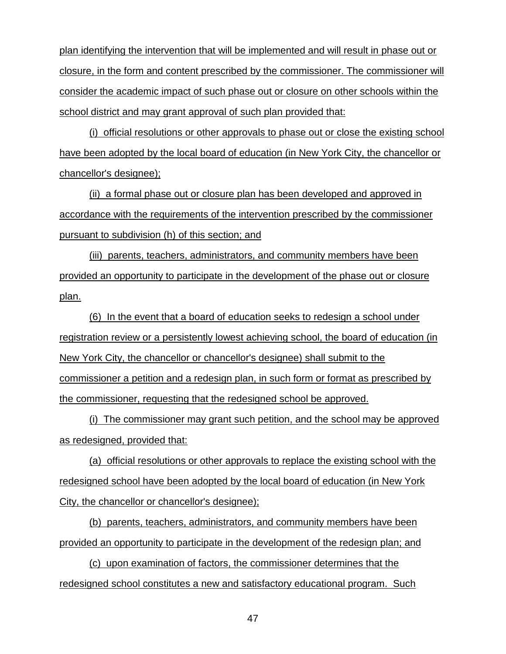plan identifying the intervention that will be implemented and will result in phase out or closure, in the form and content prescribed by the commissioner. The commissioner will consider the academic impact of such phase out or closure on other schools within the school district and may grant approval of such plan provided that:

(i) official resolutions or other approvals to phase out or close the existing school have been adopted by the local board of education (in New York City, the chancellor or chancellor's designee);

(ii) a formal phase out or closure plan has been developed and approved in accordance with the requirements of the intervention prescribed by the commissioner pursuant to subdivision (h) of this section; and

(iii) parents, teachers, administrators, and community members have been provided an opportunity to participate in the development of the phase out or closure plan.

(6) In the event that a board of education seeks to redesign a school under registration review or a persistently lowest achieving school, the board of education (in New York City, the chancellor or chancellor's designee) shall submit to the commissioner a petition and a redesign plan, in such form or format as prescribed by the commissioner, requesting that the redesigned school be approved.

(i) The commissioner may grant such petition, and the school may be approved as redesigned, provided that:

(a) official resolutions or other approvals to replace the existing school with the redesigned school have been adopted by the local board of education (in New York City, the chancellor or chancellor's designee);

(b) parents, teachers, administrators, and community members have been provided an opportunity to participate in the development of the redesign plan; and

(c) upon examination of factors, the commissioner determines that the redesigned school constitutes a new and satisfactory educational program. Such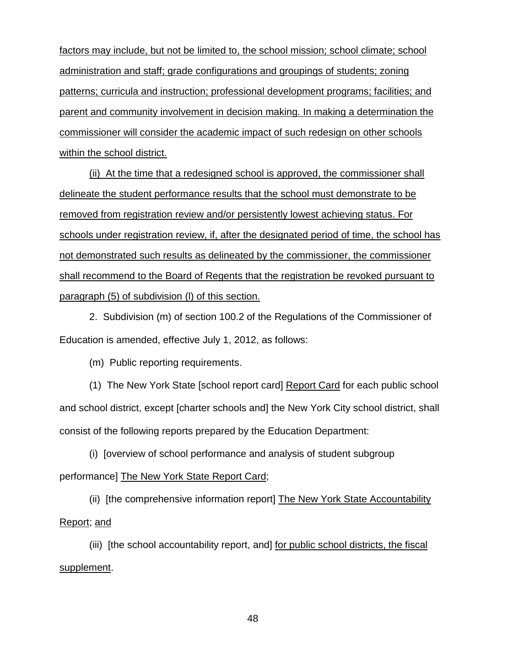factors may include, but not be limited to, the school mission; school climate; school administration and staff; grade configurations and groupings of students; zoning patterns; curricula and instruction; professional development programs; facilities; and parent and community involvement in decision making. In making a determination the commissioner will consider the academic impact of such redesign on other schools within the school district.

(ii) At the time that a redesigned school is approved, the commissioner shall delineate the student performance results that the school must demonstrate to be removed from registration review and/or persistently lowest achieving status. For schools under registration review, if, after the designated period of time, the school has not demonstrated such results as delineated by the commissioner, the commissioner shall recommend to the Board of Regents that the registration be revoked pursuant to paragraph (5) of subdivision (l) of this section.

2. Subdivision (m) of section 100.2 of the Regulations of the Commissioner of Education is amended, effective July 1, 2012, as follows:

(m) Public reporting requirements.

(1) The New York State [school report card] Report Card for each public school and school district, except [charter schools and] the New York City school district, shall consist of the following reports prepared by the Education Department:

(i) [overview of school performance and analysis of student subgroup performance] The New York State Report Card;

(ii) [the comprehensive information report] The New York State Accountability Report; and

(iii) [the school accountability report, and] for public school districts, the fiscal supplement.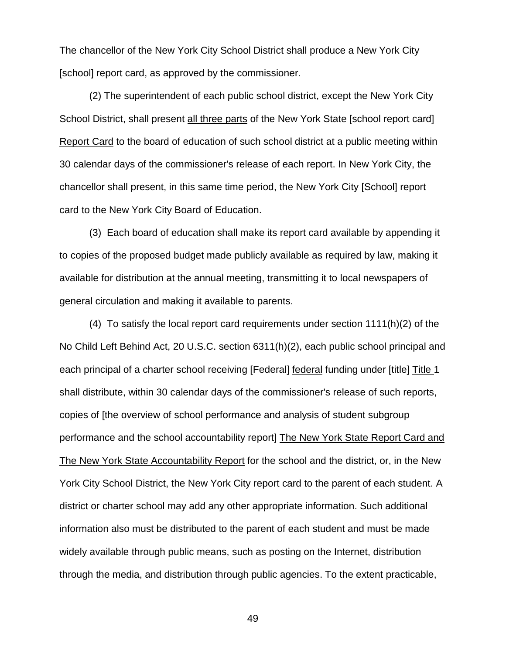The chancellor of the New York City School District shall produce a New York City [school] report card, as approved by the commissioner.

(2) The superintendent of each public school district, except the New York City School District, shall present all three parts of the New York State [school report card] Report Card to the board of education of such school district at a public meeting within 30 calendar days of the commissioner's release of each report. In New York City, the chancellor shall present, in this same time period, the New York City [School] report card to the New York City Board of Education.

(3) Each board of education shall make its report card available by appending it to copies of the proposed budget made publicly available as required by law, making it available for distribution at the annual meeting, transmitting it to local newspapers of general circulation and making it available to parents.

(4) To satisfy the local report card requirements under section 1111(h)(2) of the No Child Left Behind Act, 20 U.S.C. section 6311(h)(2), each public school principal and each principal of a charter school receiving [Federal] federal funding under [title] Title 1 shall distribute, within 30 calendar days of the commissioner's release of such reports, copies of [the overview of school performance and analysis of student subgroup performance and the school accountability report] The New York State Report Card and The New York State Accountability Report for the school and the district, or, in the New York City School District, the New York City report card to the parent of each student. A district or charter school may add any other appropriate information. Such additional information also must be distributed to the parent of each student and must be made widely available through public means, such as posting on the Internet, distribution through the media, and distribution through public agencies. To the extent practicable,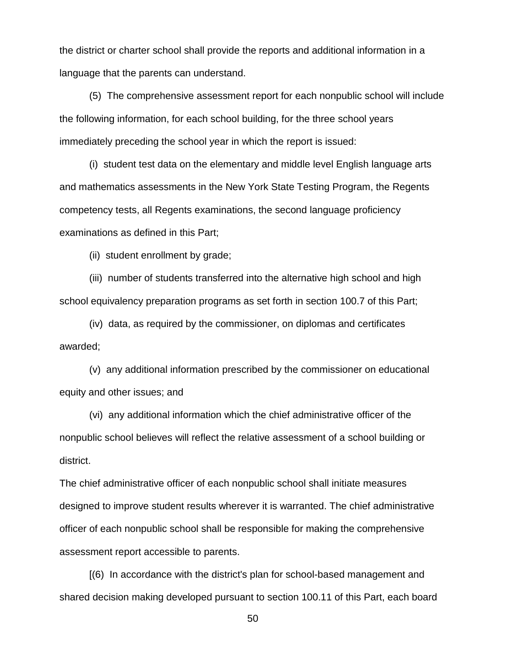the district or charter school shall provide the reports and additional information in a language that the parents can understand.

(5) The comprehensive assessment report for each nonpublic school will include the following information, for each school building, for the three school years immediately preceding the school year in which the report is issued:

(i) student test data on the elementary and middle level English language arts and mathematics assessments in the New York State Testing Program, the Regents competency tests, all Regents examinations, the second language proficiency examinations as defined in this Part;

(ii) student enrollment by grade;

(iii) number of students transferred into the alternative high school and high school equivalency preparation programs as set forth in section 100.7 of this Part;

(iv) data, as required by the commissioner, on diplomas and certificates awarded;

(v) any additional information prescribed by the commissioner on educational equity and other issues; and

(vi) any additional information which the chief administrative officer of the nonpublic school believes will reflect the relative assessment of a school building or district.

The chief administrative officer of each nonpublic school shall initiate measures designed to improve student results wherever it is warranted. The chief administrative officer of each nonpublic school shall be responsible for making the comprehensive assessment report accessible to parents.

[(6) In accordance with the district's plan for school-based management and shared decision making developed pursuant to section 100.11 of this Part, each board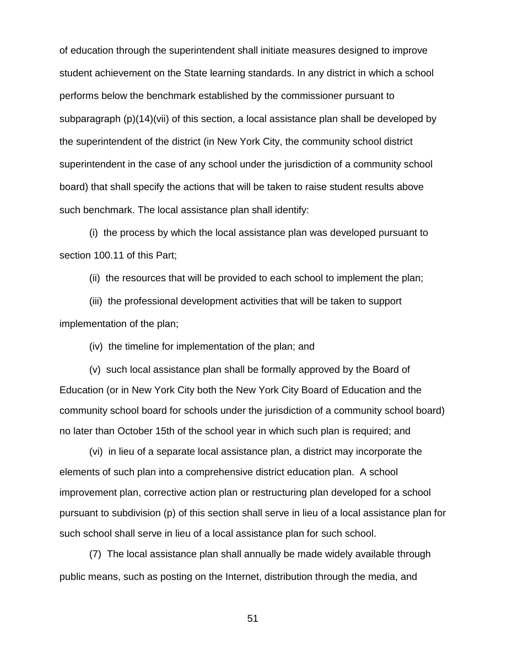of education through the superintendent shall initiate measures designed to improve student achievement on the State learning standards. In any district in which a school performs below the benchmark established by the commissioner pursuant to subparagraph (p)(14)(vii) of this section, a local assistance plan shall be developed by the superintendent of the district (in New York City, the community school district superintendent in the case of any school under the jurisdiction of a community school board) that shall specify the actions that will be taken to raise student results above such benchmark. The local assistance plan shall identify:

(i) the process by which the local assistance plan was developed pursuant to section 100.11 of this Part;

(ii) the resources that will be provided to each school to implement the plan;

(iii) the professional development activities that will be taken to support implementation of the plan;

(iv) the timeline for implementation of the plan; and

(v) such local assistance plan shall be formally approved by the Board of Education (or in New York City both the New York City Board of Education and the community school board for schools under the jurisdiction of a community school board) no later than October 15th of the school year in which such plan is required; and

(vi) in lieu of a separate local assistance plan, a district may incorporate the elements of such plan into a comprehensive district education plan. A school improvement plan, corrective action plan or restructuring plan developed for a school pursuant to subdivision (p) of this section shall serve in lieu of a local assistance plan for such school shall serve in lieu of a local assistance plan for such school.

(7) The local assistance plan shall annually be made widely available through public means, such as posting on the Internet, distribution through the media, and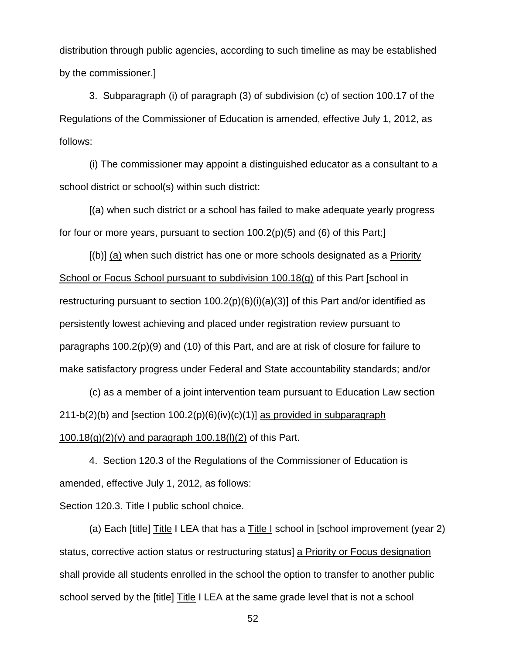distribution through public agencies, according to such timeline as may be established by the commissioner.]

3. Subparagraph (i) of paragraph (3) of subdivision (c) of section 100.17 of the Regulations of the Commissioner of Education is amended, effective July 1, 2012, as follows:

(i) The commissioner may appoint a distinguished educator as a consultant to a school district or school(s) within such district:

[(a) when such district or a school has failed to make adequate yearly progress for four or more years, pursuant to section 100.2(p)(5) and (6) of this Part;]

[(b)] (a) when such district has one or more schools designated as a Priority School or Focus School pursuant to subdivision 100.18(g) of this Part [school in restructuring pursuant to section  $100.2(p)(6)(i)(a)(3)$  of this Part and/or identified as persistently lowest achieving and placed under registration review pursuant to paragraphs 100.2(p)(9) and (10) of this Part, and are at risk of closure for failure to make satisfactory progress under Federal and State accountability standards; and/or

(c) as a member of a joint intervention team pursuant to Education Law section  $211-b(2)$ (b) and [section  $100.2(p)(6)(iv)(c)(1)$ ] as provided in subparagraph 100.18(g)(2)(v) and paragraph 100.18(l)(2) of this Part.

4. Section 120.3 of the Regulations of the Commissioner of Education is amended, effective July 1, 2012, as follows:

Section 120.3. Title I public school choice.

(a) Each [title] Title I LEA that has a Title I school in [school improvement (year 2) status, corrective action status or restructuring status] a Priority or Focus designation shall provide all students enrolled in the school the option to transfer to another public school served by the [title] Title I LEA at the same grade level that is not a school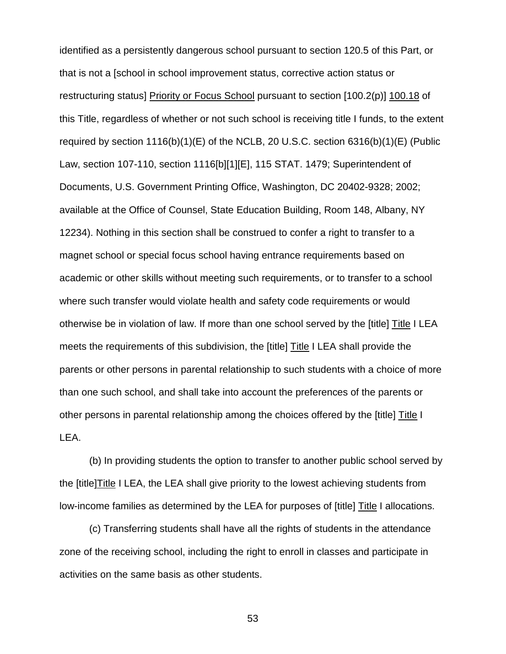identified as a persistently dangerous school pursuant to section 120.5 of this Part, or that is not a [school in school improvement status, corrective action status or restructuring status] Priority or Focus School pursuant to section [100.2(p)] 100.18 of this Title, regardless of whether or not such school is receiving title I funds, to the extent required by section 1116(b)(1)(E) of the NCLB, 20 U.S.C. section 6316(b)(1)(E) (Public Law, section 107-110, section 1116[b][1][E], 115 STAT. 1479; Superintendent of Documents, U.S. Government Printing Office, Washington, DC 20402-9328; 2002; available at the Office of Counsel, State Education Building, Room 148, Albany, NY 12234). Nothing in this section shall be construed to confer a right to transfer to a magnet school or special focus school having entrance requirements based on academic or other skills without meeting such requirements, or to transfer to a school where such transfer would violate health and safety code requirements or would otherwise be in violation of law. If more than one school served by the [title] Title I LEA meets the requirements of this subdivision, the [title] Title I LEA shall provide the parents or other persons in parental relationship to such students with a choice of more than one such school, and shall take into account the preferences of the parents or other persons in parental relationship among the choices offered by the [title] Title I LEA.

(b) In providing students the option to transfer to another public school served by the [title]Title I LEA, the LEA shall give priority to the lowest achieving students from low-income families as determined by the LEA for purposes of [title] Title I allocations.

(c) Transferring students shall have all the rights of students in the attendance zone of the receiving school, including the right to enroll in classes and participate in activities on the same basis as other students.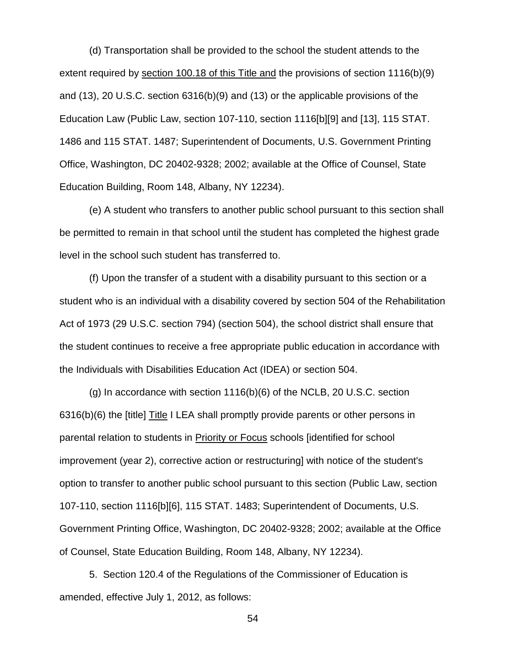(d) Transportation shall be provided to the school the student attends to the extent required by section 100.18 of this Title and the provisions of section 1116(b)(9) and (13), 20 U.S.C. section 6316(b)(9) and (13) or the applicable provisions of the Education Law (Public Law, section 107-110, section 1116[b][9] and [13], 115 STAT. 1486 and 115 STAT. 1487; Superintendent of Documents, U.S. Government Printing Office, Washington, DC 20402-9328; 2002; available at the Office of Counsel, State Education Building, Room 148, Albany, NY 12234).

(e) A student who transfers to another public school pursuant to this section shall be permitted to remain in that school until the student has completed the highest grade level in the school such student has transferred to.

(f) Upon the transfer of a student with a disability pursuant to this section or a student who is an individual with a disability covered by section 504 of the Rehabilitation Act of 1973 (29 U.S.C. section 794) (section 504), the school district shall ensure that the student continues to receive a free appropriate public education in accordance with the Individuals with Disabilities Education Act (IDEA) or section 504.

(g) In accordance with section 1116(b)(6) of the NCLB, 20 U.S.C. section 6316(b)(6) the [title] Title I LEA shall promptly provide parents or other persons in parental relation to students in Priority or Focus schools [identified for school improvement (year 2), corrective action or restructuring] with notice of the student's option to transfer to another public school pursuant to this section (Public Law, section 107-110, section 1116[b][6], 115 STAT. 1483; Superintendent of Documents, U.S. Government Printing Office, Washington, DC 20402-9328; 2002; available at the Office of Counsel, State Education Building, Room 148, Albany, NY 12234).

5. Section 120.4 of the Regulations of the Commissioner of Education is amended, effective July 1, 2012, as follows: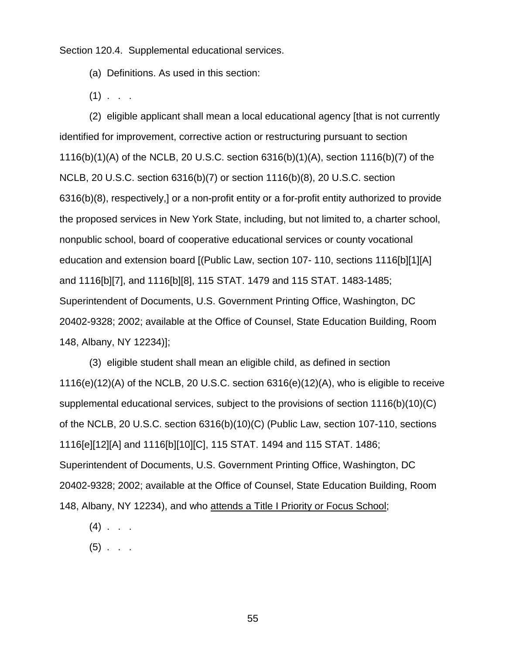Section 120.4. Supplemental educational services.

(a) Definitions. As used in this section:

 $(1)$  . .

(2) eligible applicant shall mean a local educational agency [that is not currently identified for improvement, corrective action or restructuring pursuant to section 1116(b)(1)(A) of the NCLB, 20 U.S.C. section 6316(b)(1)(A), section 1116(b)(7) of the NCLB, 20 U.S.C. section 6316(b)(7) or section 1116(b)(8), 20 U.S.C. section 6316(b)(8), respectively,] or a non-profit entity or a for-profit entity authorized to provide the proposed services in New York State, including, but not limited to, a charter school, nonpublic school, board of cooperative educational services or county vocational education and extension board [(Public Law, section 107- 110, sections 1116[b][1][A] and 1116[b][7], and 1116[b][8], 115 STAT. 1479 and 115 STAT. 1483-1485; Superintendent of Documents, U.S. Government Printing Office, Washington, DC 20402-9328; 2002; available at the Office of Counsel, State Education Building, Room 148, Albany, NY 12234)];

(3) eligible student shall mean an eligible child, as defined in section 1116(e)(12)(A) of the NCLB, 20 U.S.C. section 6316(e)(12)(A), who is eligible to receive supplemental educational services, subject to the provisions of section 1116(b)(10)(C) of the NCLB, 20 U.S.C. section 6316(b)(10)(C) (Public Law, section 107-110, sections 1116[e][12][A] and 1116[b][10][C], 115 STAT. 1494 and 115 STAT. 1486; Superintendent of Documents, U.S. Government Printing Office, Washington, DC 20402-9328; 2002; available at the Office of Counsel, State Education Building, Room 148, Albany, NY 12234), and who attends a Title I Priority or Focus School;

- $(4)$  . .
- $(5)$  . . .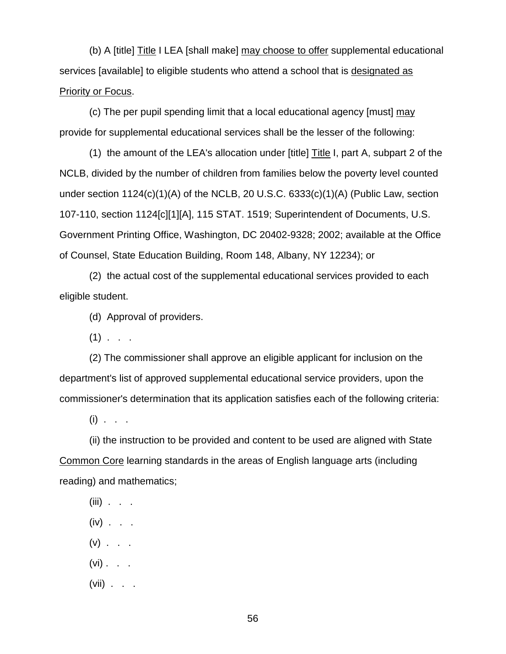(b) A [title] Title I LEA [shall make] may choose to offer supplemental educational services [available] to eligible students who attend a school that is designated as Priority or Focus.

(c) The per pupil spending limit that a local educational agency [must] may provide for supplemental educational services shall be the lesser of the following:

(1) the amount of the LEA's allocation under [title] Title I, part A, subpart 2 of the NCLB, divided by the number of children from families below the poverty level counted under section 1124(c)(1)(A) of the NCLB, 20 U.S.C. 6333(c)(1)(A) (Public Law, section 107-110, section 1124[c][1][A], 115 STAT. 1519; Superintendent of Documents, U.S. Government Printing Office, Washington, DC 20402-9328; 2002; available at the Office of Counsel, State Education Building, Room 148, Albany, NY 12234); or

(2) the actual cost of the supplemental educational services provided to each eligible student.

(d) Approval of providers.

 $(1)$  . . .

(2) The commissioner shall approve an eligible applicant for inclusion on the department's list of approved supplemental educational service providers, upon the commissioner's determination that its application satisfies each of the following criteria:

 $(i)$  . . .

(ii) the instruction to be provided and content to be used are aligned with State Common Core learning standards in the areas of English language arts (including reading) and mathematics;

 $(iii)$  . . .

- $(iv)$  . . .
- $(v)$  . . .
- $(vi)$  . . .
- $(vii)$  . . .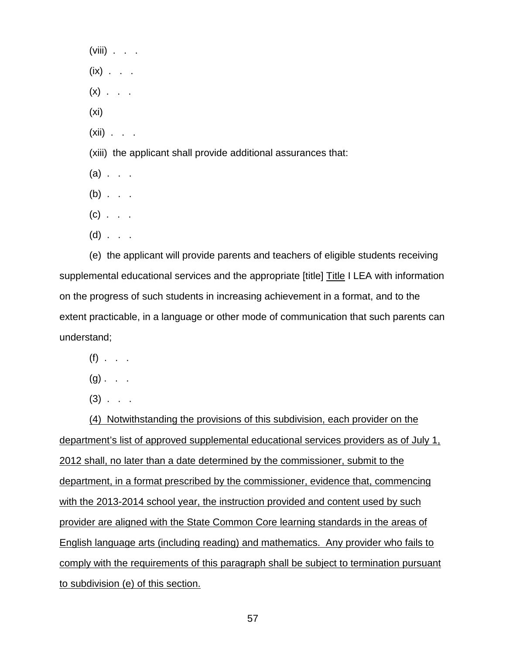$(viii)$  . . .  $(ix)$  . . .  $(x)$  . . . (xi)  $(xii)$  . . . (xiii) the applicant shall provide additional assurances that:  $(a)$  . . .  $(b)$  . . .  $(c)$  . . .  $(d)$  . . .

(e) the applicant will provide parents and teachers of eligible students receiving supplemental educational services and the appropriate [title] Title I LEA with information on the progress of such students in increasing achievement in a format, and to the extent practicable, in a language or other mode of communication that such parents can understand;

- $(f)$  . . .
- $(g)$  . .
- $(3)$  . . .

(4) Notwithstanding the provisions of this subdivision, each provider on the department's list of approved supplemental educational services providers as of July 1, 2012 shall, no later than a date determined by the commissioner, submit to the department, in a format prescribed by the commissioner, evidence that, commencing with the 2013-2014 school year, the instruction provided and content used by such provider are aligned with the State Common Core learning standards in the areas of English language arts (including reading) and mathematics. Any provider who fails to comply with the requirements of this paragraph shall be subject to termination pursuant to subdivision (e) of this section.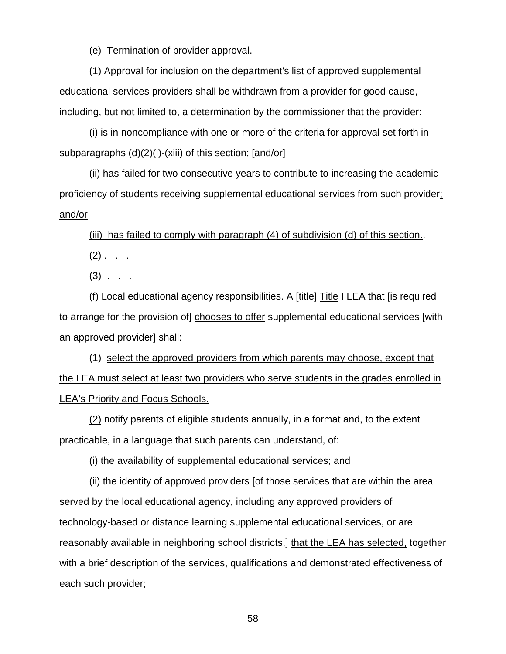(e) Termination of provider approval.

(1) Approval for inclusion on the department's list of approved supplemental educational services providers shall be withdrawn from a provider for good cause, including, but not limited to, a determination by the commissioner that the provider:

(i) is in noncompliance with one or more of the criteria for approval set forth in subparagraphs (d)(2)(i)-(xiii) of this section; [and/or]

(ii) has failed for two consecutive years to contribute to increasing the academic proficiency of students receiving supplemental educational services from such provider; and/or

(iii) has failed to comply with paragraph (4) of subdivision (d) of this section..

 $(2)$  . . .

 $(3)$  . . .

(f) Local educational agency responsibilities. A [title] Title I LEA that [is required to arrange for the provision of] chooses to offer supplemental educational services [with an approved provider] shall:

(1) select the approved providers from which parents may choose, except that the LEA must select at least two providers who serve students in the grades enrolled in LEA's Priority and Focus Schools.

(2) notify parents of eligible students annually, in a format and, to the extent practicable, in a language that such parents can understand, of:

(i) the availability of supplemental educational services; and

(ii) the identity of approved providers [of those services that are within the area served by the local educational agency, including any approved providers of technology-based or distance learning supplemental educational services, or are reasonably available in neighboring school districts,] that the LEA has selected, together with a brief description of the services, qualifications and demonstrated effectiveness of each such provider;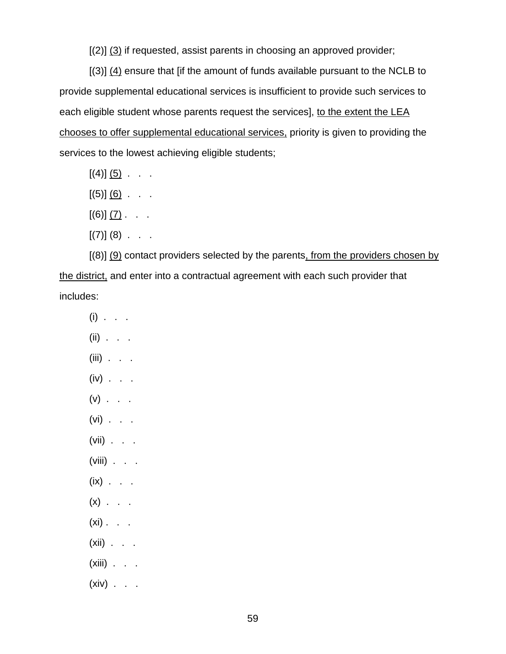[(2)] (3) if requested, assist parents in choosing an approved provider;

[(3)] (4) ensure that [if the amount of funds available pursuant to the NCLB to provide supplemental educational services is insufficient to provide such services to each eligible student whose parents request the services], to the extent the LEA chooses to offer supplemental educational services, priority is given to providing the services to the lowest achieving eligible students;

- $[(4)]$   $(5)$  . . .
- $[(5)]\, (6)$  . . .
- $[(6)] (7)$ . . .
- $[(7)] (8) . . .$

 $[(8)]$  (9) contact providers selected by the parents, from the providers chosen by the district, and enter into a contractual agreement with each such provider that includes:

- $(i)$  . . .
- $(ii)$  . . .
- $(iii)$  . . .
- $(iv)$  . . .
- $(v)$  . . .
- $(vi)$  . . .
- $(vii)$  . . .
- (viii) . . .
- $(ix)$  . . .
- $(x)$  . . .
- $(xi)$  . .
- $(xii)$  . . .
- $(xiii)$  . . .
- $(xiv)$  . . .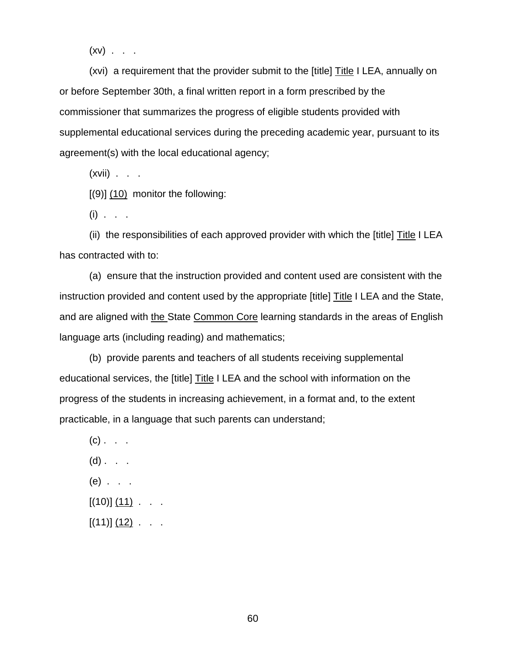$(xv)$  . . .

(xvi) a requirement that the provider submit to the [title] Title I LEA, annually on or before September 30th, a final written report in a form prescribed by the commissioner that summarizes the progress of eligible students provided with supplemental educational services during the preceding academic year, pursuant to its agreement(s) with the local educational agency;

 $(xvii)$  . . .

 $[9]$   $(10)$  monitor the following:

 $(i)$  . . .

(ii) the responsibilities of each approved provider with which the [title]  $\overline{\text{Title}}$  I LEA has contracted with to:

(a) ensure that the instruction provided and content used are consistent with the instruction provided and content used by the appropriate [title] Title I LEA and the State, and are aligned with the State Common Core learning standards in the areas of English language arts (including reading) and mathematics;

(b) provide parents and teachers of all students receiving supplemental educational services, the [title] Title I LEA and the school with information on the progress of the students in increasing achievement, in a format and, to the extent practicable, in a language that such parents can understand;

 $(c)$  . . .  $(d)$  . . . (e) . . .  $[(10)] (11)$  . . .  $[(11)] (12)$  . . .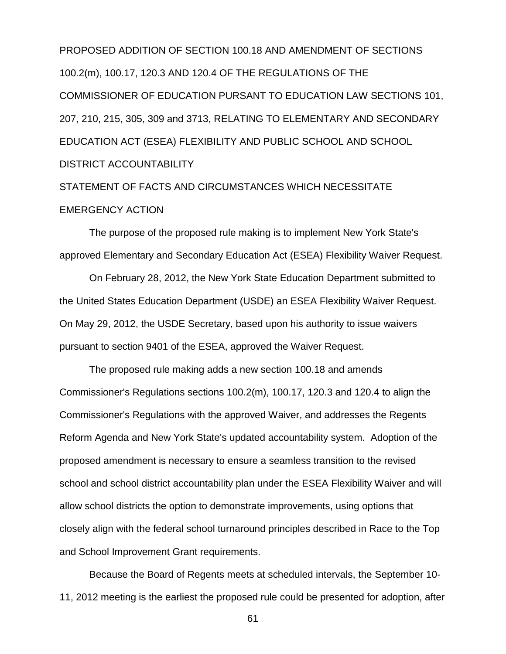PROPOSED ADDITION OF SECTION 100.18 AND AMENDMENT OF SECTIONS 100.2(m), 100.17, 120.3 AND 120.4 OF THE REGULATIONS OF THE COMMISSIONER OF EDUCATION PURSANT TO EDUCATION LAW SECTIONS 101, 207, 210, 215, 305, 309 and 3713, RELATING TO ELEMENTARY AND SECONDARY EDUCATION ACT (ESEA) FLEXIBILITY AND PUBLIC SCHOOL AND SCHOOL DISTRICT ACCOUNTABILITY

# STATEMENT OF FACTS AND CIRCUMSTANCES WHICH NECESSITATE EMERGENCY ACTION

The purpose of the proposed rule making is to implement New York State's approved Elementary and Secondary Education Act (ESEA) Flexibility Waiver Request.

On February 28, 2012, the New York State Education Department submitted to the United States Education Department (USDE) an ESEA Flexibility Waiver Request. On May 29, 2012, the USDE Secretary, based upon his authority to issue waivers pursuant to section 9401 of the ESEA, approved the Waiver Request.

The proposed rule making adds a new section 100.18 and amends Commissioner's Regulations sections 100.2(m), 100.17, 120.3 and 120.4 to align the Commissioner's Regulations with the approved Waiver, and addresses the Regents Reform Agenda and New York State's updated accountability system. Adoption of the proposed amendment is necessary to ensure a seamless transition to the revised school and school district accountability plan under the ESEA Flexibility Waiver and will allow school districts the option to demonstrate improvements, using options that closely align with the federal school turnaround principles described in Race to the Top and School Improvement Grant requirements.

Because the Board of Regents meets at scheduled intervals, the September 10- 11, 2012 meeting is the earliest the proposed rule could be presented for adoption, after